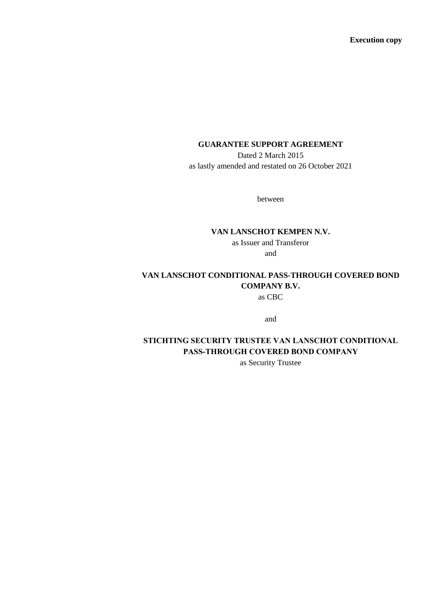**Execution copy**

# **GUARANTEE SUPPORT AGREEMENT**

Dated 2 March 2015 as lastly amended and restated on 26 October 2021

between

#### **VAN LANSCHOT KEMPEN N.V.**

as Issuer and Transferor and

**VAN LANSCHOT CONDITIONAL PASS-THROUGH COVERED BOND COMPANY B.V.** as CBC

and

# **STICHTING SECURITY TRUSTEE VAN LANSCHOT CONDITIONAL PASS-THROUGH COVERED BOND COMPANY**

as Security Trustee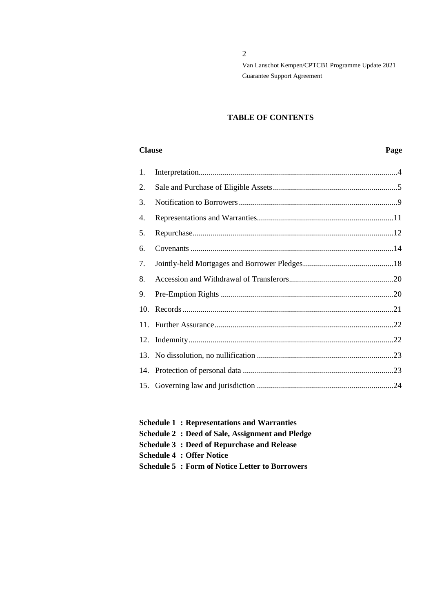2

Van Lanschot Kempen/CPTCB1 Programme Update 2021 Guarantee Support Agreement

# **TABLE OF CONTENTS**

#### **Clause Page**

- **Schedule 1 : Representations and Warranties Schedule 2 : Deed of Sale, Assignment and Pledge Schedule 3 : Deed of Repurchase and Release**
- **Schedule 4 : Offer Notice**
- **Schedule 5 : Form of Notice Letter to Borrowers**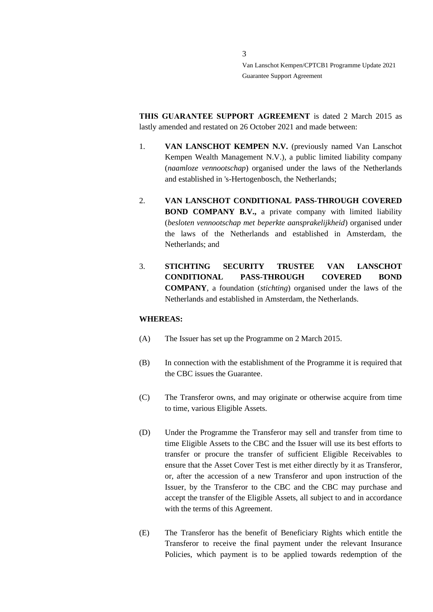**THIS GUARANTEE SUPPORT AGREEMENT** is dated 2 March 2015 as lastly amended and restated on 26 October 2021 and made between:

- 1. **VAN LANSCHOT KEMPEN N.V.** (previously named Van Lanschot Kempen Wealth Management N.V.), a public limited liability company (*naamloze vennootschap*) organised under the laws of the Netherlands and established in 's-Hertogenbosch, the Netherlands;
- 2. **VAN LANSCHOT CONDITIONAL PASS-THROUGH COVERED BOND COMPANY B.V.,** a private company with limited liability (*besloten vennootschap met beperkte aansprakelijkheid*) organised under the laws of the Netherlands and established in Amsterdam, the Netherlands; and
- 3. **STICHTING SECURITY TRUSTEE VAN LANSCHOT CONDITIONAL PASS-THROUGH COVERED BOND COMPANY**, a foundation (*stichting*) organised under the laws of the Netherlands and established in Amsterdam, the Netherlands.

#### **WHEREAS:**

- (A) The Issuer has set up the Programme on 2 March 2015.
- (B) In connection with the establishment of the Programme it is required that the CBC issues the Guarantee.
- (C) The Transferor owns, and may originate or otherwise acquire from time to time, various Eligible Assets.
- (D) Under the Programme the Transferor may sell and transfer from time to time Eligible Assets to the CBC and the Issuer will use its best efforts to transfer or procure the transfer of sufficient Eligible Receivables to ensure that the Asset Cover Test is met either directly by it as Transferor, or, after the accession of a new Transferor and upon instruction of the Issuer, by the Transferor to the CBC and the CBC may purchase and accept the transfer of the Eligible Assets, all subject to and in accordance with the terms of this Agreement.
- (E) The Transferor has the benefit of Beneficiary Rights which entitle the Transferor to receive the final payment under the relevant Insurance Policies, which payment is to be applied towards redemption of the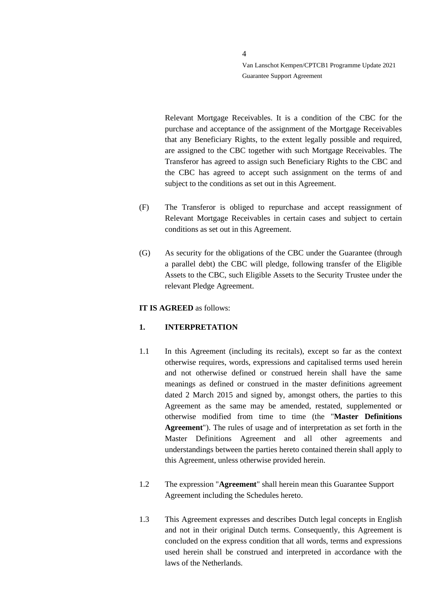Relevant Mortgage Receivables. It is a condition of the CBC for the purchase and acceptance of the assignment of the Mortgage Receivables that any Beneficiary Rights, to the extent legally possible and required, are assigned to the CBC together with such Mortgage Receivables. The Transferor has agreed to assign such Beneficiary Rights to the CBC and the CBC has agreed to accept such assignment on the terms of and subject to the conditions as set out in this Agreement.

- (F) The Transferor is obliged to repurchase and accept reassignment of Relevant Mortgage Receivables in certain cases and subject to certain conditions as set out in this Agreement.
- (G) As security for the obligations of the CBC under the Guarantee (through a parallel debt) the CBC will pledge, following transfer of the Eligible Assets to the CBC, such Eligible Assets to the Security Trustee under the relevant Pledge Agreement.

## **IT IS AGREED** as follows:

# <span id="page-3-0"></span>**1. INTERPRETATION**

- 1.1 In this Agreement (including its recitals), except so far as the context otherwise requires, words, expressions and capitalised terms used herein and not otherwise defined or construed herein shall have the same meanings as defined or construed in the master definitions agreement dated 2 March 2015 and signed by, amongst others, the parties to this Agreement as the same may be amended, restated, supplemented or otherwise modified from time to time (the "**Master Definitions Agreement**"). The rules of usage and of interpretation as set forth in the Master Definitions Agreement and all other agreements and understandings between the parties hereto contained therein shall apply to this Agreement, unless otherwise provided herein.
- 1.2 The expression "**Agreement**" shall herein mean this Guarantee Support Agreement including the Schedules hereto.
- 1.3 This Agreement expresses and describes Dutch legal concepts in English and not in their original Dutch terms. Consequently, this Agreement is concluded on the express condition that all words, terms and expressions used herein shall be construed and interpreted in accordance with the laws of the Netherlands.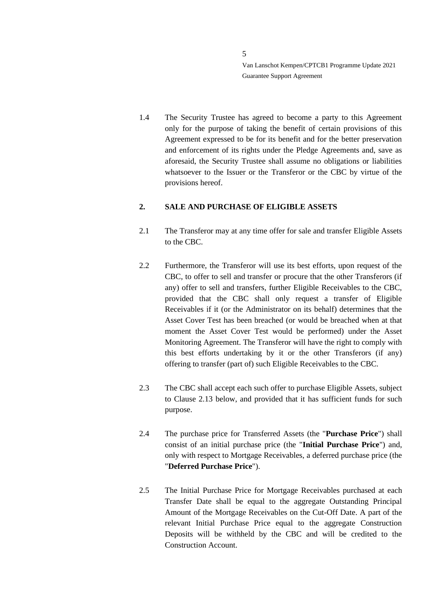1.4 The Security Trustee has agreed to become a party to this Agreement only for the purpose of taking the benefit of certain provisions of this Agreement expressed to be for its benefit and for the better preservation and enforcement of its rights under the Pledge Agreements and, save as aforesaid, the Security Trustee shall assume no obligations or liabilities whatsoever to the Issuer or the Transferor or the CBC by virtue of the provisions hereof.

# <span id="page-4-0"></span>**2. SALE AND PURCHASE OF ELIGIBLE ASSETS**

- 2.1 The Transferor may at any time offer for sale and transfer Eligible Assets to the CBC.
- 2.2 Furthermore, the Transferor will use its best efforts, upon request of the CBC, to offer to sell and transfer or procure that the other Transferors (if any) offer to sell and transfers, further Eligible Receivables to the CBC, provided that the CBC shall only request a transfer of Eligible Receivables if it (or the Administrator on its behalf) determines that the Asset Cover Test has been breached (or would be breached when at that moment the Asset Cover Test would be performed) under the Asset Monitoring Agreement. The Transferor will have the right to comply with this best efforts undertaking by it or the other Transferors (if any) offering to transfer (part of) such Eligible Receivables to the CBC.
- 2.3 The CBC shall accept each such offer to purchase Eligible Assets, subject to Clause [2.13](#page-6-0) below, and provided that it has sufficient funds for such purpose.
- 2.4 The purchase price for Transferred Assets (the "**Purchase Price**") shall consist of an initial purchase price (the "**Initial Purchase Price**") and, only with respect to Mortgage Receivables, a deferred purchase price (the "**Deferred Purchase Price**").
- <span id="page-4-1"></span>2.5 The Initial Purchase Price for Mortgage Receivables purchased at each Transfer Date shall be equal to the aggregate Outstanding Principal Amount of the Mortgage Receivables on the Cut-Off Date. A part of the relevant Initial Purchase Price equal to the aggregate Construction Deposits will be withheld by the CBC and will be credited to the Construction Account.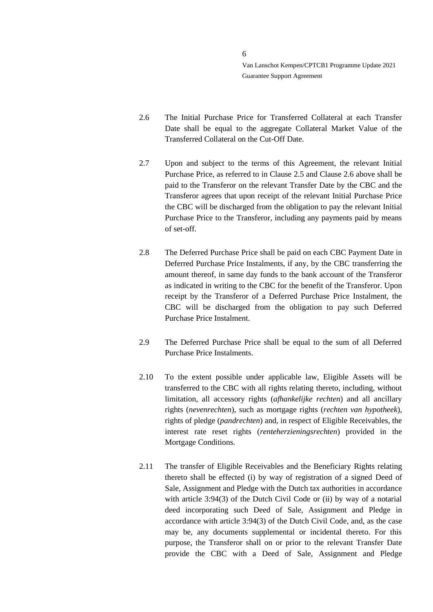- <span id="page-5-0"></span>2.6 The Initial Purchase Price for Transferred Collateral at each Transfer Date shall be equal to the aggregate Collateral Market Value of the Transferred Collateral on the Cut-Off Date.
- <span id="page-5-1"></span>2.7 Upon and subject to the terms of this Agreement, the relevant Initial Purchase Price, as referred to in Clause [2.5](#page-4-1) and Clause [2.6](#page-5-0) above shall be paid to the Transferor on the relevant Transfer Date by the CBC and the Transferor agrees that upon receipt of the relevant Initial Purchase Price the CBC will be discharged from the obligation to pay the relevant Initial Purchase Price to the Transferor, including any payments paid by means of set-off.
- 2.8 The Deferred Purchase Price shall be paid on each CBC Payment Date in Deferred Purchase Price Instalments, if any, by the CBC transferring the amount thereof, in same day funds to the bank account of the Transferor as indicated in writing to the CBC for the benefit of the Transferor. Upon receipt by the Transferor of a Deferred Purchase Price Instalment, the CBC will be discharged from the obligation to pay such Deferred Purchase Price Instalment.
- 2.9 The Deferred Purchase Price shall be equal to the sum of all Deferred Purchase Price Instalments.
- 2.10 To the extent possible under applicable law, Eligible Assets will be transferred to the CBC with all rights relating thereto, including, without limitation, all accessory rights (*afhankelijke rechten*) and all ancillary rights (*nevenrechten*), such as mortgage rights (*rechten van hypotheek*), rights of pledge (*pandrechten*) and, in respect of Eligible Receivables, the interest rate reset rights (*renteherzieningsrechten*) provided in the Mortgage Conditions.
- 2.11 The transfer of Eligible Receivables and the Beneficiary Rights relating thereto shall be effected (i) by way of registration of a signed Deed of Sale, Assignment and Pledge with the Dutch tax authorities in accordance with article 3:94(3) of the Dutch Civil Code or (ii) by way of a notarial deed incorporating such Deed of Sale, Assignment and Pledge in accordance with article 3:94(3) of the Dutch Civil Code, and, as the case may be, any documents supplemental or incidental thereto. For this purpose, the Transferor shall on or prior to the relevant Transfer Date provide the CBC with a Deed of Sale, Assignment and Pledge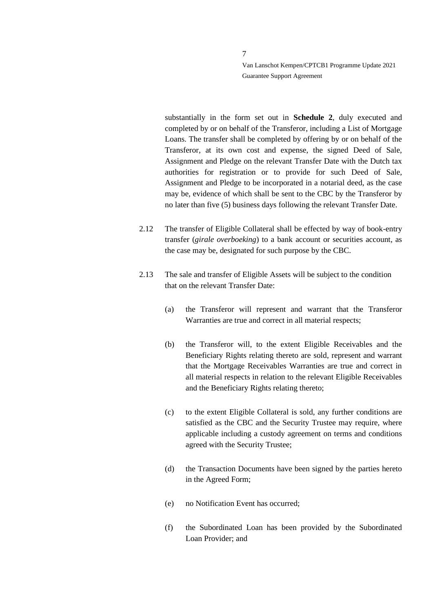substantially in the form set out in **Schedule 2**, duly executed and completed by or on behalf of the Transferor, including a List of Mortgage Loans. The transfer shall be completed by offering by or on behalf of the Transferor, at its own cost and expense, the signed Deed of Sale, Assignment and Pledge on the relevant Transfer Date with the Dutch tax authorities for registration or to provide for such Deed of Sale, Assignment and Pledge to be incorporated in a notarial deed, as the case may be, evidence of which shall be sent to the CBC by the Transferor by no later than five (5) business days following the relevant Transfer Date.

- <span id="page-6-1"></span>2.12 The transfer of Eligible Collateral shall be effected by way of book-entry transfer (*girale overboeking*) to a bank account or securities account, as the case may be, designated for such purpose by the CBC.
- <span id="page-6-0"></span>2.13 The sale and transfer of Eligible Assets will be subject to the condition that on the relevant Transfer Date:
	- (a) the Transferor will represent and warrant that the Transferor Warranties are true and correct in all material respects;
	- (b) the Transferor will, to the extent Eligible Receivables and the Beneficiary Rights relating thereto are sold, represent and warrant that the Mortgage Receivables Warranties are true and correct in all material respects in relation to the relevant Eligible Receivables and the Beneficiary Rights relating thereto;
	- (c) to the extent Eligible Collateral is sold, any further conditions are satisfied as the CBC and the Security Trustee may require, where applicable including a custody agreement on terms and conditions agreed with the Security Trustee;
	- (d) the Transaction Documents have been signed by the parties hereto in the Agreed Form;
	- (e) no Notification Event has occurred;
	- (f) the Subordinated Loan has been provided by the Subordinated Loan Provider; and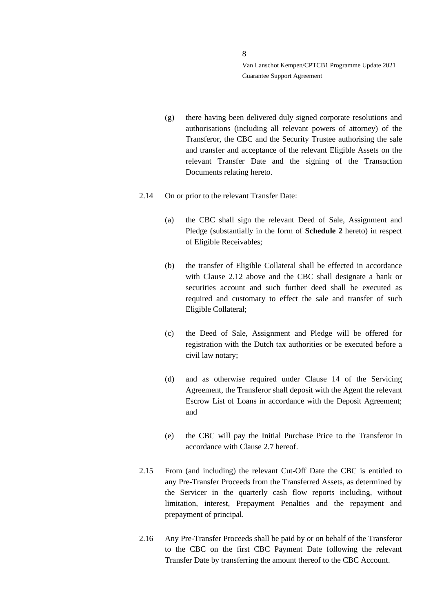- (g) there having been delivered duly signed corporate resolutions and authorisations (including all relevant powers of attorney) of the Transferor, the CBC and the Security Trustee authorising the sale and transfer and acceptance of the relevant Eligible Assets on the relevant Transfer Date and the signing of the Transaction Documents relating hereto.
- 2.14 On or prior to the relevant Transfer Date:
	- (a) the CBC shall sign the relevant Deed of Sale, Assignment and Pledge (substantially in the form of **Schedule 2** hereto) in respect of Eligible Receivables;
	- (b) the transfer of Eligible Collateral shall be effected in accordance with Clause [2.12](#page-6-1) above and the CBC shall designate a bank or securities account and such further deed shall be executed as required and customary to effect the sale and transfer of such Eligible Collateral;
	- (c) the Deed of Sale, Assignment and Pledge will be offered for registration with the Dutch tax authorities or be executed before a civil law notary;
	- (d) and as otherwise required under Clause 14 of the Servicing Agreement, the Transferor shall deposit with the Agent the relevant Escrow List of Loans in accordance with the Deposit Agreement; and
	- (e) the CBC will pay the Initial Purchase Price to the Transferor in accordance with Clause [2.7](#page-5-1) hereof.
- 2.15 From (and including) the relevant Cut-Off Date the CBC is entitled to any Pre-Transfer Proceeds from the Transferred Assets, as determined by the Servicer in the quarterly cash flow reports including, without limitation, interest, Prepayment Penalties and the repayment and prepayment of principal.
- 2.16 Any Pre-Transfer Proceeds shall be paid by or on behalf of the Transferor to the CBC on the first CBC Payment Date following the relevant Transfer Date by transferring the amount thereof to the CBC Account.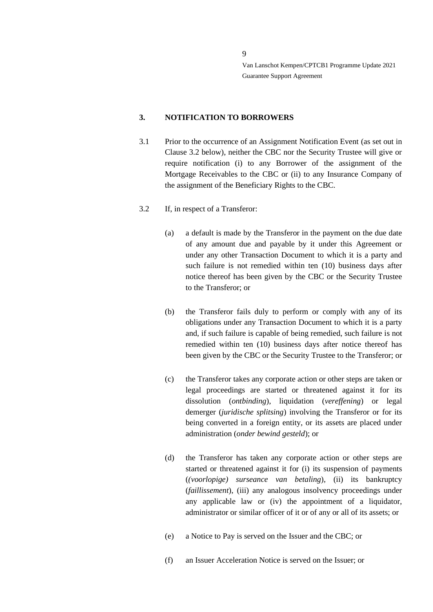#### <span id="page-8-0"></span>**3. NOTIFICATION TO BORROWERS**

- 3.1 Prior to the occurrence of an Assignment Notification Event (as set out in Clause 3.2 below), neither the CBC nor the Security Trustee will give or require notification (i) to any Borrower of the assignment of the Mortgage Receivables to the CBC or (ii) to any Insurance Company of the assignment of the Beneficiary Rights to the CBC.
- <span id="page-8-1"></span>3.2 If, in respect of a Transferor:
	- (a) a default is made by the Transferor in the payment on the due date of any amount due and payable by it under this Agreement or under any other Transaction Document to which it is a party and such failure is not remedied within ten (10) business days after notice thereof has been given by the CBC or the Security Trustee to the Transferor; or
	- (b) the Transferor fails duly to perform or comply with any of its obligations under any Transaction Document to which it is a party and, if such failure is capable of being remedied, such failure is not remedied within ten (10) business days after notice thereof has been given by the CBC or the Security Trustee to the Transferor; or
	- (c) the Transferor takes any corporate action or other steps are taken or legal proceedings are started or threatened against it for its dissolution (*ontbinding*), liquidation (*vereffening*) or legal demerger (*juridische splitsing*) involving the Transferor or for its being converted in a foreign entity, or its assets are placed under administration (*onder bewind gesteld*); or
	- (d) the Transferor has taken any corporate action or other steps are started or threatened against it for (i) its suspension of payments (*(voorlopige) surseance van betaling*), (ii) its bankruptcy (*faillissement*), (iii) any analogous insolvency proceedings under any applicable law or (iv) the appointment of a liquidator, administrator or similar officer of it or of any or all of its assets; or
	- (e) a Notice to Pay is served on the Issuer and the CBC; or
	- (f) an Issuer Acceleration Notice is served on the Issuer; or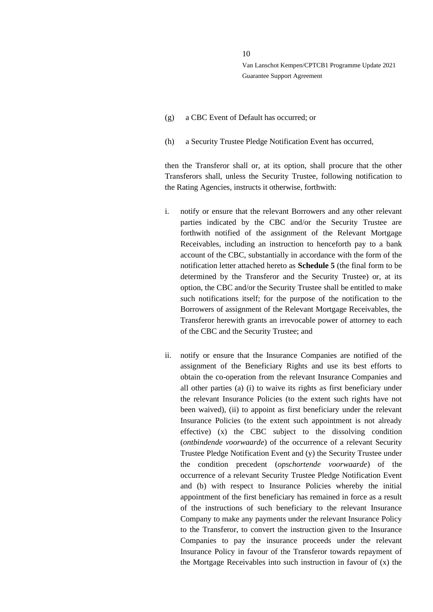- (g) a CBC Event of Default has occurred; or
- (h) a Security Trustee Pledge Notification Event has occurred,

then the Transferor shall or, at its option, shall procure that the other Transferors shall, unless the Security Trustee, following notification to the Rating Agencies, instructs it otherwise, forthwith:

- i. notify or ensure that the relevant Borrowers and any other relevant parties indicated by the CBC and/or the Security Trustee are forthwith notified of the assignment of the Relevant Mortgage Receivables, including an instruction to henceforth pay to a bank account of the CBC, substantially in accordance with the form of the notification letter attached hereto as **Schedule 5** (the final form to be determined by the Transferor and the Security Trustee) or, at its option, the CBC and/or the Security Trustee shall be entitled to make such notifications itself; for the purpose of the notification to the Borrowers of assignment of the Relevant Mortgage Receivables, the Transferor herewith grants an irrevocable power of attorney to each of the CBC and the Security Trustee; and
- ii. notify or ensure that the Insurance Companies are notified of the assignment of the Beneficiary Rights and use its best efforts to obtain the co-operation from the relevant Insurance Companies and all other parties (a) (i) to waive its rights as first beneficiary under the relevant Insurance Policies (to the extent such rights have not been waived), (ii) to appoint as first beneficiary under the relevant Insurance Policies (to the extent such appointment is not already effective) (x) the CBC subject to the dissolving condition (*ontbindende voorwaarde*) of the occurrence of a relevant Security Trustee Pledge Notification Event and (y) the Security Trustee under the condition precedent (*opschortende voorwaarde*) of the occurrence of a relevant Security Trustee Pledge Notification Event and (b) with respect to Insurance Policies whereby the initial appointment of the first beneficiary has remained in force as a result of the instructions of such beneficiary to the relevant Insurance Company to make any payments under the relevant Insurance Policy to the Transferor, to convert the instruction given to the Insurance Companies to pay the insurance proceeds under the relevant Insurance Policy in favour of the Transferor towards repayment of the Mortgage Receivables into such instruction in favour of (x) the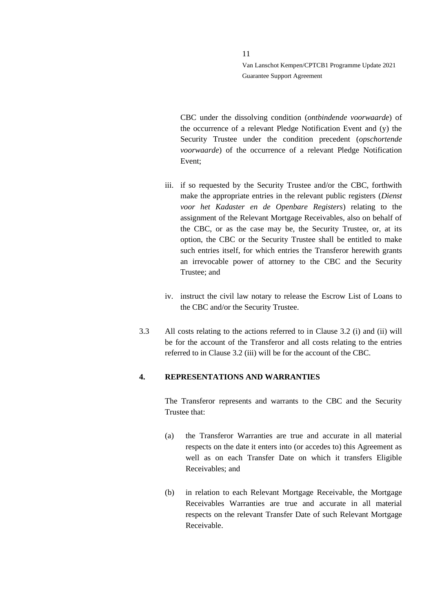CBC under the dissolving condition (*ontbindende voorwaarde*) of the occurrence of a relevant Pledge Notification Event and (y) the Security Trustee under the condition precedent (*opschortende voorwaarde*) of the occurrence of a relevant Pledge Notification Event;

- iii. if so requested by the Security Trustee and/or the CBC, forthwith make the appropriate entries in the relevant public registers (*Dienst voor het Kadaster en de Openbare Registers*) relating to the assignment of the Relevant Mortgage Receivables, also on behalf of the CBC, or as the case may be, the Security Trustee, or, at its option, the CBC or the Security Trustee shall be entitled to make such entries itself, for which entries the Transferor herewith grants an irrevocable power of attorney to the CBC and the Security Trustee; and
- iv. instruct the civil law notary to release the Escrow List of Loans to the CBC and/or the Security Trustee.
- 3.3 All costs relating to the actions referred to in Clause [3.2](#page-8-1) (i) and (ii) will be for the account of the Transferor and all costs relating to the entries referred to in Claus[e 3.2](#page-8-1) (iii) will be for the account of the CBC.

#### <span id="page-10-0"></span>**4. REPRESENTATIONS AND WARRANTIES**

The Transferor represents and warrants to the CBC and the Security Trustee that:

- (a) the Transferor Warranties are true and accurate in all material respects on the date it enters into (or accedes to) this Agreement as well as on each Transfer Date on which it transfers Eligible Receivables; and
- (b) in relation to each Relevant Mortgage Receivable, the Mortgage Receivables Warranties are true and accurate in all material respects on the relevant Transfer Date of such Relevant Mortgage Receivable.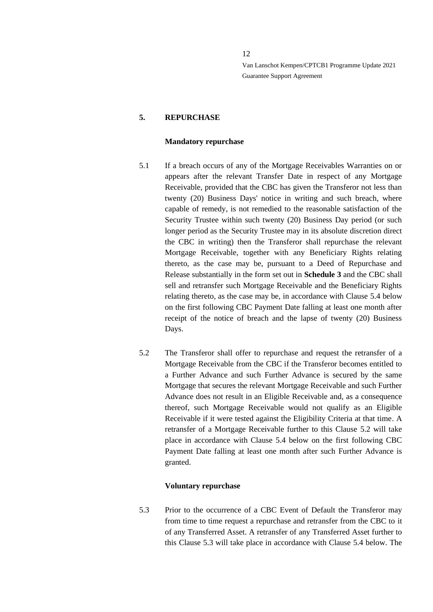# <span id="page-11-0"></span>**5. REPURCHASE**

#### **Mandatory repurchase**

- <span id="page-11-1"></span>5.1 If a breach occurs of any of the Mortgage Receivables Warranties on or appears after the relevant Transfer Date in respect of any Mortgage Receivable, provided that the CBC has given the Transferor not less than twenty (20) Business Days' notice in writing and such breach, where capable of remedy, is not remedied to the reasonable satisfaction of the Security Trustee within such twenty (20) Business Day period (or such longer period as the Security Trustee may in its absolute discretion direct the CBC in writing) then the Transferor shall repurchase the relevant Mortgage Receivable, together with any Beneficiary Rights relating thereto, as the case may be, pursuant to a Deed of Repurchase and Release substantially in the form set out in **Schedule 3** and the CBC shall sell and retransfer such Mortgage Receivable and the Beneficiary Rights relating thereto, as the case may be, in accordance with Clause [5.4](#page-12-0) below on the first following CBC Payment Date falling at least one month after receipt of the notice of breach and the lapse of twenty (20) Business Days.
- <span id="page-11-2"></span>5.2 The Transferor shall offer to repurchase and request the retransfer of a Mortgage Receivable from the CBC if the Transferor becomes entitled to a Further Advance and such Further Advance is secured by the same Mortgage that secures the relevant Mortgage Receivable and such Further Advance does not result in an Eligible Receivable and, as a consequence thereof, such Mortgage Receivable would not qualify as an Eligible Receivable if it were tested against the Eligibility Criteria at that time. A retransfer of a Mortgage Receivable further to this Clause 5.2 will take place in accordance with Clause [5.4](#page-12-0) below on the first following CBC Payment Date falling at least one month after such Further Advance is granted.

#### **Voluntary repurchase**

<span id="page-11-3"></span>5.3 Prior to the occurrence of a CBC Event of Default the Transferor may from time to time request a repurchase and retransfer from the CBC to it of any Transferred Asset. A retransfer of any Transferred Asset further to this Clause 5.3 will take place in accordance with Clause [5.4](#page-12-0) below. The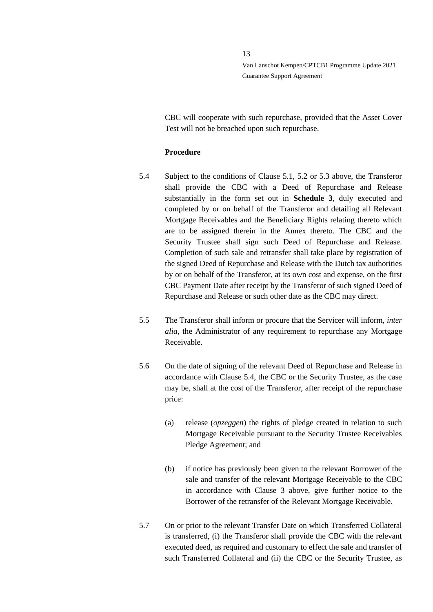CBC will cooperate with such repurchase, provided that the Asset Cover Test will not be breached upon such repurchase.

#### **Procedure**

- <span id="page-12-0"></span>5.4 Subject to the conditions of Clause [5.1,](#page-11-1) [5.2](#page-11-2) or [5.3](#page-11-3) above, the Transferor shall provide the CBC with a Deed of Repurchase and Release substantially in the form set out in **Schedule 3**, duly executed and completed by or on behalf of the Transferor and detailing all Relevant Mortgage Receivables and the Beneficiary Rights relating thereto which are to be assigned therein in the Annex thereto. The CBC and the Security Trustee shall sign such Deed of Repurchase and Release. Completion of such sale and retransfer shall take place by registration of the signed Deed of Repurchase and Release with the Dutch tax authorities by or on behalf of the Transferor, at its own cost and expense, on the first CBC Payment Date after receipt by the Transferor of such signed Deed of Repurchase and Release or such other date as the CBC may direct.
- 5.5 The Transferor shall inform or procure that the Servicer will inform, *inter alia*, the Administrator of any requirement to repurchase any Mortgage Receivable.
- 5.6 On the date of signing of the relevant Deed of Repurchase and Release in accordance with Clause 5.4, the CBC or the Security Trustee, as the case may be, shall at the cost of the Transferor, after receipt of the repurchase price:
	- (a) release (*opzeggen*) the rights of pledge created in relation to such Mortgage Receivable pursuant to the Security Trustee Receivables Pledge Agreement; and
	- (b) if notice has previously been given to the relevant Borrower of the sale and transfer of the relevant Mortgage Receivable to the CBC in accordance with Clause [3](#page-8-0) above, give further notice to the Borrower of the retransfer of the Relevant Mortgage Receivable.
- 5.7 On or prior to the relevant Transfer Date on which Transferred Collateral is transferred, (i) the Transferor shall provide the CBC with the relevant executed deed, as required and customary to effect the sale and transfer of such Transferred Collateral and (ii) the CBC or the Security Trustee, as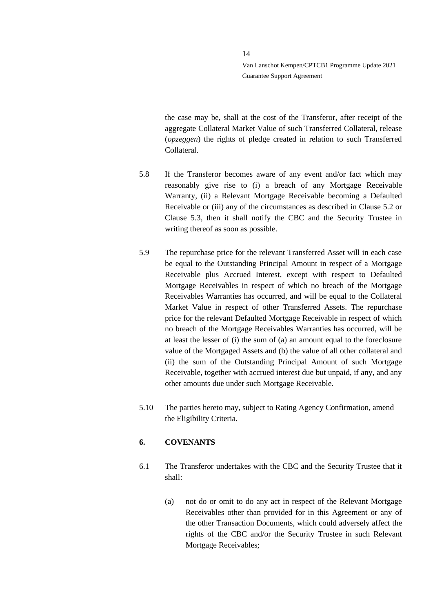the case may be, shall at the cost of the Transferor, after receipt of the aggregate Collateral Market Value of such Transferred Collateral, release (*opzeggen*) the rights of pledge created in relation to such Transferred Collateral.

- 5.8 If the Transferor becomes aware of any event and/or fact which may reasonably give rise to (i) a breach of any Mortgage Receivable Warranty, (ii) a Relevant Mortgage Receivable becoming a Defaulted Receivable or (iii) any of the circumstances as described in Clause 5.2 or Clause 5.3, then it shall notify the CBC and the Security Trustee in writing thereof as soon as possible.
- 5.9 The repurchase price for the relevant Transferred Asset will in each case be equal to the Outstanding Principal Amount in respect of a Mortgage Receivable plus Accrued Interest, except with respect to Defaulted Mortgage Receivables in respect of which no breach of the Mortgage Receivables Warranties has occurred, and will be equal to the Collateral Market Value in respect of other Transferred Assets. The repurchase price for the relevant Defaulted Mortgage Receivable in respect of which no breach of the Mortgage Receivables Warranties has occurred, will be at least the lesser of (i) the sum of (a) an amount equal to the foreclosure value of the Mortgaged Assets and (b) the value of all other collateral and (ii) the sum of the Outstanding Principal Amount of such Mortgage Receivable, together with accrued interest due but unpaid, if any, and any other amounts due under such Mortgage Receivable.
- 5.10 The parties hereto may, subject to Rating Agency Confirmation, amend the Eligibility Criteria.

#### <span id="page-13-0"></span>**6. COVENANTS**

- 6.1 The Transferor undertakes with the CBC and the Security Trustee that it shall:
	- (a) not do or omit to do any act in respect of the Relevant Mortgage Receivables other than provided for in this Agreement or any of the other Transaction Documents, which could adversely affect the rights of the CBC and/or the Security Trustee in such Relevant Mortgage Receivables;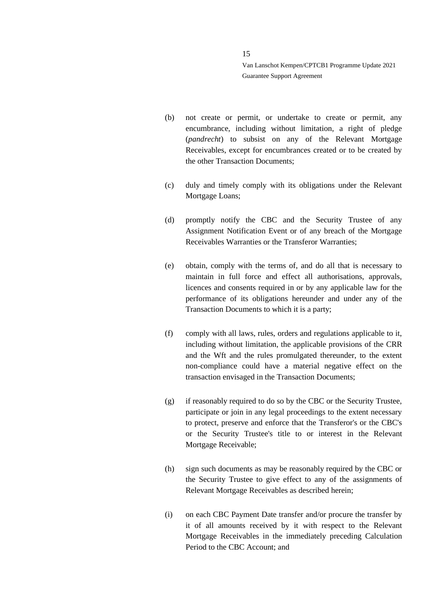- (b) not create or permit, or undertake to create or permit, any encumbrance, including without limitation, a right of pledge (*pandrecht*) to subsist on any of the Relevant Mortgage Receivables, except for encumbrances created or to be created by the other Transaction Documents;
- (c) duly and timely comply with its obligations under the Relevant Mortgage Loans;
- (d) promptly notify the CBC and the Security Trustee of any Assignment Notification Event or of any breach of the Mortgage Receivables Warranties or the Transferor Warranties;
- (e) obtain, comply with the terms of, and do all that is necessary to maintain in full force and effect all authorisations, approvals, licences and consents required in or by any applicable law for the performance of its obligations hereunder and under any of the Transaction Documents to which it is a party;
- (f) comply with all laws, rules, orders and regulations applicable to it, including without limitation, the applicable provisions of the CRR and the Wft and the rules promulgated thereunder, to the extent non-compliance could have a material negative effect on the transaction envisaged in the Transaction Documents;
- (g) if reasonably required to do so by the CBC or the Security Trustee, participate or join in any legal proceedings to the extent necessary to protect, preserve and enforce that the Transferor's or the CBC's or the Security Trustee's title to or interest in the Relevant Mortgage Receivable;
- (h) sign such documents as may be reasonably required by the CBC or the Security Trustee to give effect to any of the assignments of Relevant Mortgage Receivables as described herein;
- (i) on each CBC Payment Date transfer and/or procure the transfer by it of all amounts received by it with respect to the Relevant Mortgage Receivables in the immediately preceding Calculation Period to the CBC Account; and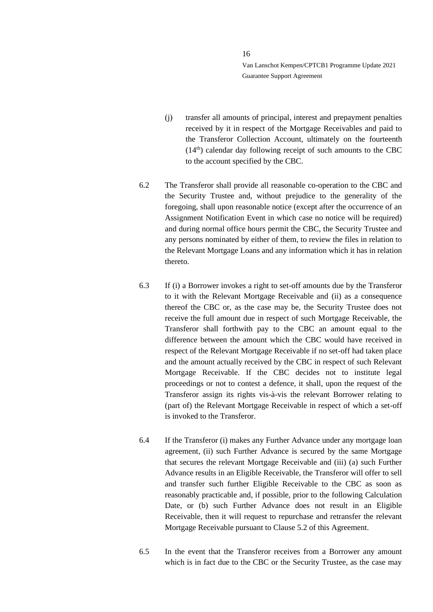- (j) transfer all amounts of principal, interest and prepayment penalties received by it in respect of the Mortgage Receivables and paid to the Transferor Collection Account, ultimately on the fourteenth  $(14<sup>th</sup>)$  calendar day following receipt of such amounts to the CBC to the account specified by the CBC.
- 6.2 The Transferor shall provide all reasonable co-operation to the CBC and the Security Trustee and, without prejudice to the generality of the foregoing, shall upon reasonable notice (except after the occurrence of an Assignment Notification Event in which case no notice will be required) and during normal office hours permit the CBC, the Security Trustee and any persons nominated by either of them, to review the files in relation to the Relevant Mortgage Loans and any information which it has in relation thereto.
- 6.3 If (i) a Borrower invokes a right to set-off amounts due by the Transferor to it with the Relevant Mortgage Receivable and (ii) as a consequence thereof the CBC or, as the case may be, the Security Trustee does not receive the full amount due in respect of such Mortgage Receivable, the Transferor shall forthwith pay to the CBC an amount equal to the difference between the amount which the CBC would have received in respect of the Relevant Mortgage Receivable if no set-off had taken place and the amount actually received by the CBC in respect of such Relevant Mortgage Receivable. If the CBC decides not to institute legal proceedings or not to contest a defence, it shall, upon the request of the Transferor assign its rights vis-à-vis the relevant Borrower relating to (part of) the Relevant Mortgage Receivable in respect of which a set-off is invoked to the Transferor.
- 6.4 If the Transferor (i) makes any Further Advance under any mortgage loan agreement, (ii) such Further Advance is secured by the same Mortgage that secures the relevant Mortgage Receivable and (iii) (a) such Further Advance results in an Eligible Receivable, the Transferor will offer to sell and transfer such further Eligible Receivable to the CBC as soon as reasonably practicable and, if possible, prior to the following Calculation Date, or (b) such Further Advance does not result in an Eligible Receivable, then it will request to repurchase and retransfer the relevant Mortgage Receivable pursuant to Clause 5.2 of this Agreement.
- 6.5 In the event that the Transferor receives from a Borrower any amount which is in fact due to the CBC or the Security Trustee, as the case may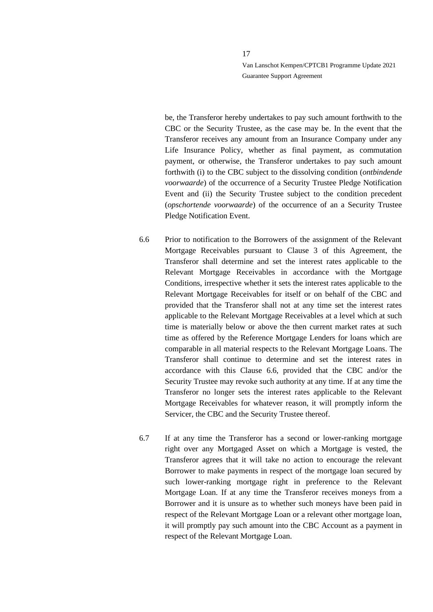be, the Transferor hereby undertakes to pay such amount forthwith to the CBC or the Security Trustee, as the case may be. In the event that the Transferor receives any amount from an Insurance Company under any Life Insurance Policy, whether as final payment, as commutation payment, or otherwise, the Transferor undertakes to pay such amount forthwith (i) to the CBC subject to the dissolving condition (*ontbindende voorwaarde*) of the occurrence of a Security Trustee Pledge Notification Event and (ii) the Security Trustee subject to the condition precedent (*opschortende voorwaarde*) of the occurrence of an a Security Trustee Pledge Notification Event.

- <span id="page-16-0"></span>6.6 Prior to notification to the Borrowers of the assignment of the Relevant Mortgage Receivables pursuant to Clause 3 of this Agreement, the Transferor shall determine and set the interest rates applicable to the Relevant Mortgage Receivables in accordance with the Mortgage Conditions, irrespective whether it sets the interest rates applicable to the Relevant Mortgage Receivables for itself or on behalf of the CBC and provided that the Transferor shall not at any time set the interest rates applicable to the Relevant Mortgage Receivables at a level which at such time is materially below or above the then current market rates at such time as offered by the Reference Mortgage Lenders for loans which are comparable in all material respects to the Relevant Mortgage Loans. The Transferor shall continue to determine and set the interest rates in accordance with this Clause [6.6,](#page-16-0) provided that the CBC and/or the Security Trustee may revoke such authority at any time. If at any time the Transferor no longer sets the interest rates applicable to the Relevant Mortgage Receivables for whatever reason, it will promptly inform the Servicer, the CBC and the Security Trustee thereof.
- 6.7 If at any time the Transferor has a second or lower-ranking mortgage right over any Mortgaged Asset on which a Mortgage is vested, the Transferor agrees that it will take no action to encourage the relevant Borrower to make payments in respect of the mortgage loan secured by such lower-ranking mortgage right in preference to the Relevant Mortgage Loan. If at any time the Transferor receives moneys from a Borrower and it is unsure as to whether such moneys have been paid in respect of the Relevant Mortgage Loan or a relevant other mortgage loan, it will promptly pay such amount into the CBC Account as a payment in respect of the Relevant Mortgage Loan.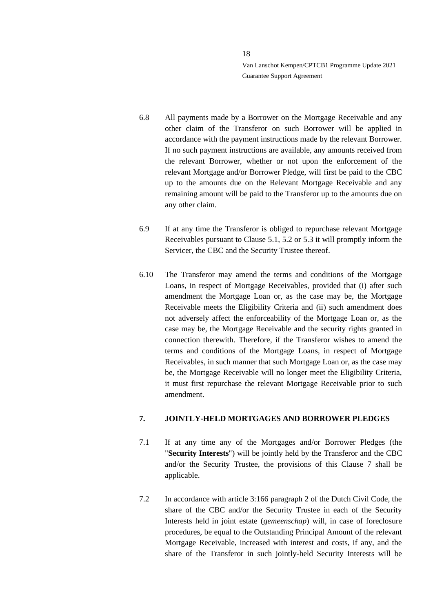- 6.8 All payments made by a Borrower on the Mortgage Receivable and any other claim of the Transferor on such Borrower will be applied in accordance with the payment instructions made by the relevant Borrower. If no such payment instructions are available, any amounts received from the relevant Borrower, whether or not upon the enforcement of the relevant Mortgage and/or Borrower Pledge, will first be paid to the CBC up to the amounts due on the Relevant Mortgage Receivable and any remaining amount will be paid to the Transferor up to the amounts due on any other claim.
- 6.9 If at any time the Transferor is obliged to repurchase relevant Mortgage Receivables pursuant to Clause 5.1, 5.2 or 5.3 it will promptly inform the Servicer, the CBC and the Security Trustee thereof.
- 6.10 The Transferor may amend the terms and conditions of the Mortgage Loans, in respect of Mortgage Receivables, provided that (i) after such amendment the Mortgage Loan or, as the case may be, the Mortgage Receivable meets the Eligibility Criteria and (ii) such amendment does not adversely affect the enforceability of the Mortgage Loan or, as the case may be, the Mortgage Receivable and the security rights granted in connection therewith. Therefore, if the Transferor wishes to amend the terms and conditions of the Mortgage Loans, in respect of Mortgage Receivables, in such manner that such Mortgage Loan or, as the case may be, the Mortgage Receivable will no longer meet the Eligibility Criteria, it must first repurchase the relevant Mortgage Receivable prior to such amendment.

# <span id="page-17-0"></span>**7. JOINTLY-HELD MORTGAGES AND BORROWER PLEDGES**

- 7.1 If at any time any of the Mortgages and/or Borrower Pledges (the "**Security Interests**") will be jointly held by the Transferor and the CBC and/or the Security Trustee, the provisions of this Clause [7](#page-17-0) shall be applicable.
- 7.2 In accordance with article 3:166 paragraph 2 of the Dutch Civil Code, the share of the CBC and/or the Security Trustee in each of the Security Interests held in joint estate (*gemeenschap*) will, in case of foreclosure procedures, be equal to the Outstanding Principal Amount of the relevant Mortgage Receivable, increased with interest and costs, if any, and the share of the Transferor in such jointly-held Security Interests will be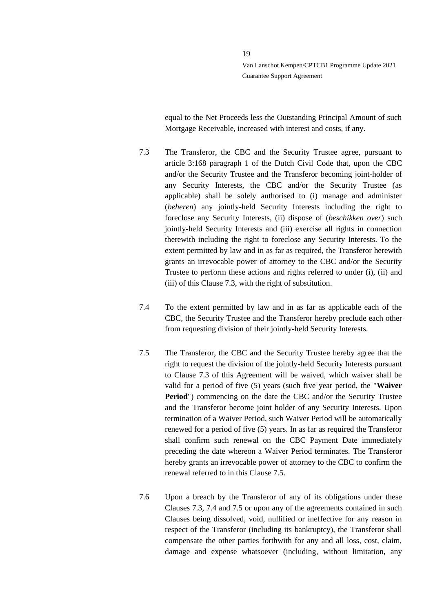equal to the Net Proceeds less the Outstanding Principal Amount of such Mortgage Receivable, increased with interest and costs, if any.

- <span id="page-18-0"></span>7.3 The Transferor, the CBC and the Security Trustee agree, pursuant to article 3:168 paragraph 1 of the Dutch Civil Code that, upon the CBC and/or the Security Trustee and the Transferor becoming joint-holder of any Security Interests, the CBC and/or the Security Trustee (as applicable) shall be solely authorised to (i) manage and administer (*beheren*) any jointly-held Security Interests including the right to foreclose any Security Interests, (ii) dispose of (*beschikken over*) such jointly-held Security Interests and (iii) exercise all rights in connection therewith including the right to foreclose any Security Interests. To the extent permitted by law and in as far as required, the Transferor herewith grants an irrevocable power of attorney to the CBC and/or the Security Trustee to perform these actions and rights referred to under (i), (ii) and (iii) of this Clause [7.3,](#page-18-0) with the right of substitution.
- <span id="page-18-2"></span>7.4 To the extent permitted by law and in as far as applicable each of the CBC, the Security Trustee and the Transferor hereby preclude each other from requesting division of their jointly-held Security Interests.
- <span id="page-18-1"></span>7.5 The Transferor, the CBC and the Security Trustee hereby agree that the right to request the division of the jointly-held Security Interests pursuant to Clause [7.3](#page-18-0) of this Agreement will be waived, which waiver shall be valid for a period of five (5) years (such five year period, the "**Waiver Period**") commencing on the date the CBC and/or the Security Trustee and the Transferor become joint holder of any Security Interests. Upon termination of a Waiver Period, such Waiver Period will be automatically renewed for a period of five (5) years. In as far as required the Transferor shall confirm such renewal on the CBC Payment Date immediately preceding the date whereon a Waiver Period terminates. The Transferor hereby grants an irrevocable power of attorney to the CBC to confirm the renewal referred to in this Clause [7.5.](#page-18-1)
- 7.6 Upon a breach by the Transferor of any of its obligations under these Clauses [7.3,](#page-18-0) [7.4](#page-18-2) and [7.5](#page-18-1) or upon any of the agreements contained in such Clauses being dissolved, void, nullified or ineffective for any reason in respect of the Transferor (including its bankruptcy), the Transferor shall compensate the other parties forthwith for any and all loss, cost, claim, damage and expense whatsoever (including, without limitation, any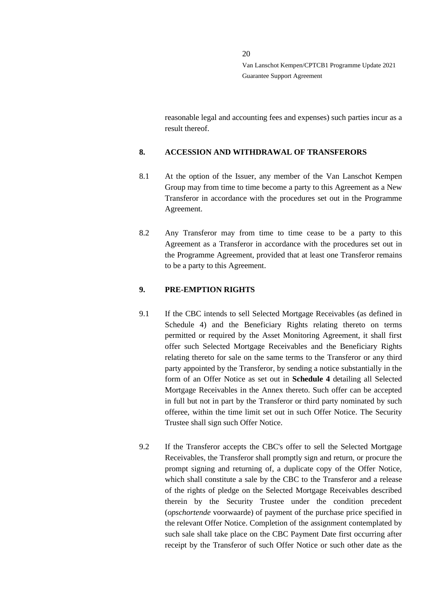reasonable legal and accounting fees and expenses) such parties incur as a result thereof.

# <span id="page-19-0"></span>**8. ACCESSION AND WITHDRAWAL OF TRANSFERORS**

- 8.1 At the option of the Issuer, any member of the Van Lanschot Kempen Group may from time to time become a party to this Agreement as a New Transferor in accordance with the procedures set out in the Programme Agreement.
- 8.2 Any Transferor may from time to time cease to be a party to this Agreement as a Transferor in accordance with the procedures set out in the Programme Agreement, provided that at least one Transferor remains to be a party to this Agreement.

# <span id="page-19-1"></span>**9. PRE-EMPTION RIGHTS**

- 9.1 If the CBC intends to sell Selected Mortgage Receivables (as defined in Schedule 4) and the Beneficiary Rights relating thereto on terms permitted or required by the Asset Monitoring Agreement, it shall first offer such Selected Mortgage Receivables and the Beneficiary Rights relating thereto for sale on the same terms to the Transferor or any third party appointed by the Transferor, by sending a notice substantially in the form of an Offer Notice as set out in **Schedule 4** detailing all Selected Mortgage Receivables in the Annex thereto. Such offer can be accepted in full but not in part by the Transferor or third party nominated by such offeree, within the time limit set out in such Offer Notice. The Security Trustee shall sign such Offer Notice.
- 9.2 If the Transferor accepts the CBC's offer to sell the Selected Mortgage Receivables, the Transferor shall promptly sign and return, or procure the prompt signing and returning of, a duplicate copy of the Offer Notice, which shall constitute a sale by the CBC to the Transferor and a release of the rights of pledge on the Selected Mortgage Receivables described therein by the Security Trustee under the condition precedent (*opschortende* voorwaarde) of payment of the purchase price specified in the relevant Offer Notice. Completion of the assignment contemplated by such sale shall take place on the CBC Payment Date first occurring after receipt by the Transferor of such Offer Notice or such other date as the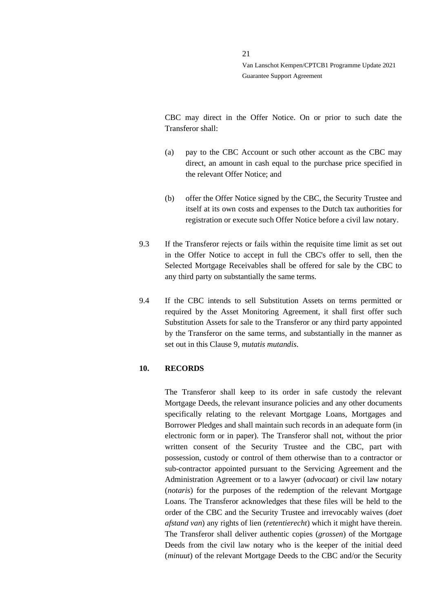CBC may direct in the Offer Notice. On or prior to such date the Transferor shall:

- (a) pay to the CBC Account or such other account as the CBC may direct, an amount in cash equal to the purchase price specified in the relevant Offer Notice; and
- (b) offer the Offer Notice signed by the CBC, the Security Trustee and itself at its own costs and expenses to the Dutch tax authorities for registration or execute such Offer Notice before a civil law notary.
- 9.3 If the Transferor rejects or fails within the requisite time limit as set out in the Offer Notice to accept in full the CBC's offer to sell, then the Selected Mortgage Receivables shall be offered for sale by the CBC to any third party on substantially the same terms.
- 9.4 If the CBC intends to sell Substitution Assets on terms permitted or required by the Asset Monitoring Agreement, it shall first offer such Substitution Assets for sale to the Transferor or any third party appointed by the Transferor on the same terms, and substantially in the manner as set out in this Clause 9, *mutatis mutandis*.

#### <span id="page-20-0"></span>**10. RECORDS**

The Transferor shall keep to its order in safe custody the relevant Mortgage Deeds, the relevant insurance policies and any other documents specifically relating to the relevant Mortgage Loans, Mortgages and Borrower Pledges and shall maintain such records in an adequate form (in electronic form or in paper). The Transferor shall not, without the prior written consent of the Security Trustee and the CBC, part with possession, custody or control of them otherwise than to a contractor or sub-contractor appointed pursuant to the Servicing Agreement and the Administration Agreement or to a lawyer (*advocaat*) or civil law notary (*notaris*) for the purposes of the redemption of the relevant Mortgage Loans. The Transferor acknowledges that these files will be held to the order of the CBC and the Security Trustee and irrevocably waives (*doet afstand van*) any rights of lien (*retentierecht*) which it might have therein. The Transferor shall deliver authentic copies (*grossen*) of the Mortgage Deeds from the civil law notary who is the keeper of the initial deed (*minuut*) of the relevant Mortgage Deeds to the CBC and/or the Security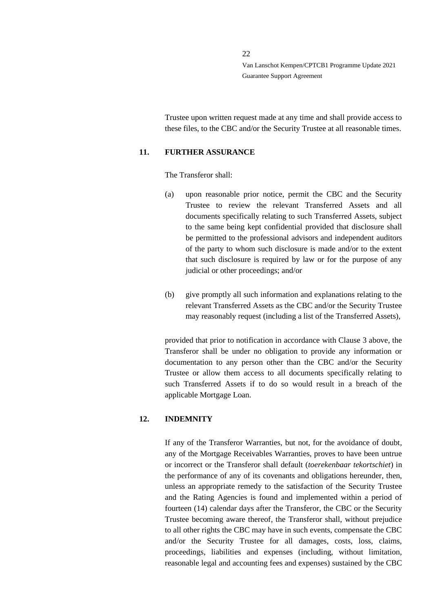Trustee upon written request made at any time and shall provide access to these files, to the CBC and/or the Security Trustee at all reasonable times.

#### <span id="page-21-0"></span>**11. FURTHER ASSURANCE**

The Transferor shall:

- (a) upon reasonable prior notice, permit the CBC and the Security Trustee to review the relevant Transferred Assets and all documents specifically relating to such Transferred Assets, subject to the same being kept confidential provided that disclosure shall be permitted to the professional advisors and independent auditors of the party to whom such disclosure is made and/or to the extent that such disclosure is required by law or for the purpose of any judicial or other proceedings; and/or
- (b) give promptly all such information and explanations relating to the relevant Transferred Assets as the CBC and/or the Security Trustee may reasonably request (including a list of the Transferred Assets),

provided that prior to notification in accordance with Clause [3](#page-8-0) above, the Transferor shall be under no obligation to provide any information or documentation to any person other than the CBC and/or the Security Trustee or allow them access to all documents specifically relating to such Transferred Assets if to do so would result in a breach of the applicable Mortgage Loan.

#### <span id="page-21-1"></span>**12. INDEMNITY**

If any of the Transferor Warranties, but not, for the avoidance of doubt, any of the Mortgage Receivables Warranties, proves to have been untrue or incorrect or the Transferor shall default (*toerekenbaar tekortschiet*) in the performance of any of its covenants and obligations hereunder, then, unless an appropriate remedy to the satisfaction of the Security Trustee and the Rating Agencies is found and implemented within a period of fourteen (14) calendar days after the Transferor, the CBC or the Security Trustee becoming aware thereof, the Transferor shall, without prejudice to all other rights the CBC may have in such events, compensate the CBC and/or the Security Trustee for all damages, costs, loss, claims, proceedings, liabilities and expenses (including, without limitation, reasonable legal and accounting fees and expenses) sustained by the CBC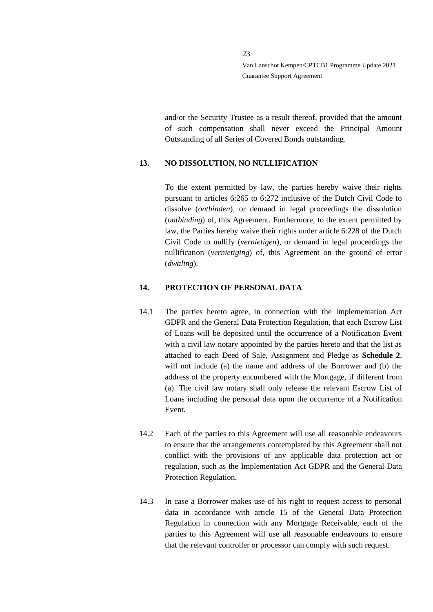and/or the Security Trustee as a result thereof, provided that the amount of such compensation shall never exceed the Principal Amount Outstanding of all Series of Covered Bonds outstanding.

# <span id="page-22-0"></span>**13. NO DISSOLUTION, NO NULLIFICATION**

To the extent permitted by law, the parties hereby waive their rights pursuant to articles 6:265 to 6:272 inclusive of the Dutch Civil Code to dissolve (*ontbinden*), or demand in legal proceedings the dissolution (*ontbinding*) of, this Agreement. Furthermore, to the extent permitted by law, the Parties hereby waive their rights under article 6:228 of the Dutch Civil Code to nullify (*vernietigen*), or demand in legal proceedings the nullification (*vernietiging*) of, this Agreement on the ground of error (*dwaling*).

# <span id="page-22-1"></span>**14. PROTECTION OF PERSONAL DATA**

- 14.1 The parties hereto agree, in connection with the Implementation Act GDPR and the General Data Protection Regulation, that each Escrow List of Loans will be deposited until the occurrence of a Notification Event with a civil law notary appointed by the parties hereto and that the list as attached to each Deed of Sale, Assignment and Pledge as **Schedule 2**, will not include (a) the name and address of the Borrower and (b) the address of the property encumbered with the Mortgage, if different from (a). The civil law notary shall only release the relevant Escrow List of Loans including the personal data upon the occurrence of a Notification Event.
- 14.2 Each of the parties to this Agreement will use all reasonable endeavours to ensure that the arrangements contemplated by this Agreement shall not conflict with the provisions of any applicable data protection act or regulation, such as the Implementation Act GDPR and the General Data Protection Regulation.
- 14.3 In case a Borrower makes use of his right to request access to personal data in accordance with article 15 of the General Data Protection Regulation in connection with any Mortgage Receivable, each of the parties to this Agreement will use all reasonable endeavours to ensure that the relevant controller or processor can comply with such request.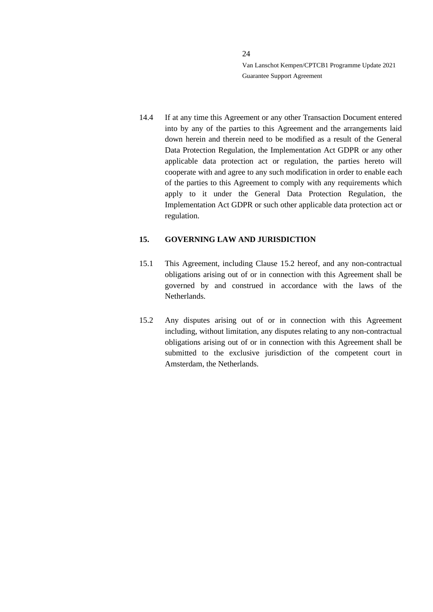14.4 If at any time this Agreement or any other Transaction Document entered into by any of the parties to this Agreement and the arrangements laid down herein and therein need to be modified as a result of the General Data Protection Regulation, the Implementation Act GDPR or any other applicable data protection act or regulation, the parties hereto will cooperate with and agree to any such modification in order to enable each of the parties to this Agreement to comply with any requirements which apply to it under the General Data Protection Regulation, the Implementation Act GDPR or such other applicable data protection act or regulation.

# <span id="page-23-0"></span>**15. GOVERNING LAW AND JURISDICTION**

- 15.1 This Agreement, including Clause [15.2](#page-23-1) hereof, and any non-contractual obligations arising out of or in connection with this Agreement shall be governed by and construed in accordance with the laws of the Netherlands.
- <span id="page-23-1"></span>15.2 Any disputes arising out of or in connection with this Agreement including, without limitation, any disputes relating to any non-contractual obligations arising out of or in connection with this Agreement shall be submitted to the exclusive jurisdiction of the competent court in Amsterdam, the Netherlands.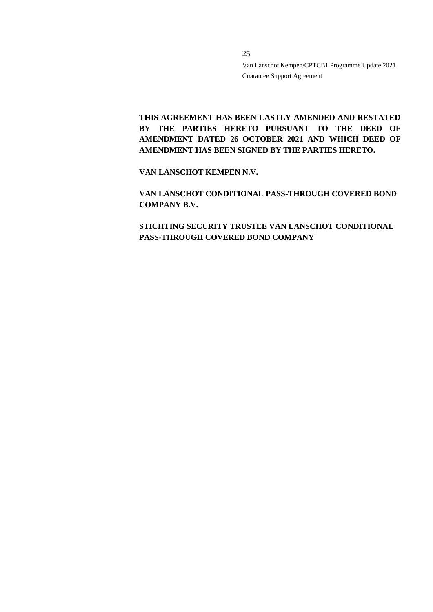**THIS AGREEMENT HAS BEEN LASTLY AMENDED AND RESTATED**  BY THE PARTIES HERETO PURSUANT TO THE DEED OF **AMENDMENT DATED 26 OCTOBER 2021 AND WHICH DEED OF AMENDMENT HAS BEEN SIGNED BY THE PARTIES HERETO.** 

**VAN LANSCHOT KEMPEN N.V.**

**VAN LANSCHOT CONDITIONAL PASS-THROUGH COVERED BOND COMPANY B.V.**

**STICHTING SECURITY TRUSTEE VAN LANSCHOT CONDITIONAL PASS-THROUGH COVERED BOND COMPANY**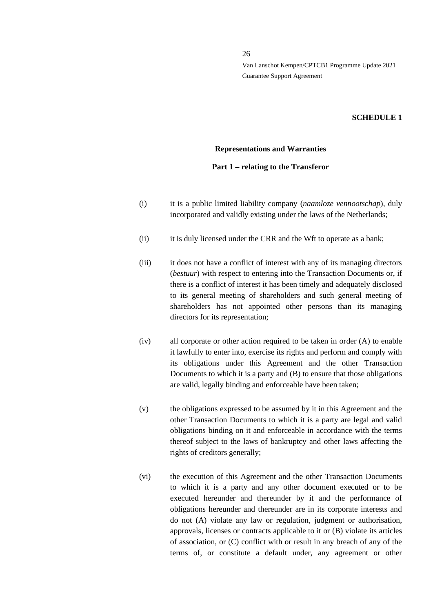#### **SCHEDULE 1**

#### **Representations and Warranties**

#### **Part 1 – relating to the Transferor**

- (i) it is a public limited liability company (*naamloze vennootschap*), duly incorporated and validly existing under the laws of the Netherlands;
- (ii) it is duly licensed under the CRR and the Wft to operate as a bank;
- (iii) it does not have a conflict of interest with any of its managing directors (*bestuur*) with respect to entering into the Transaction Documents or, if there is a conflict of interest it has been timely and adequately disclosed to its general meeting of shareholders and such general meeting of shareholders has not appointed other persons than its managing directors for its representation;
- (iv) all corporate or other action required to be taken in order (A) to enable it lawfully to enter into, exercise its rights and perform and comply with its obligations under this Agreement and the other Transaction Documents to which it is a party and (B) to ensure that those obligations are valid, legally binding and enforceable have been taken;
- (v) the obligations expressed to be assumed by it in this Agreement and the other Transaction Documents to which it is a party are legal and valid obligations binding on it and enforceable in accordance with the terms thereof subject to the laws of bankruptcy and other laws affecting the rights of creditors generally;
- (vi) the execution of this Agreement and the other Transaction Documents to which it is a party and any other document executed or to be executed hereunder and thereunder by it and the performance of obligations hereunder and thereunder are in its corporate interests and do not (A) violate any law or regulation, judgment or authorisation, approvals, licenses or contracts applicable to it or (B) violate its articles of association, or (C) conflict with or result in any breach of any of the terms of, or constitute a default under, any agreement or other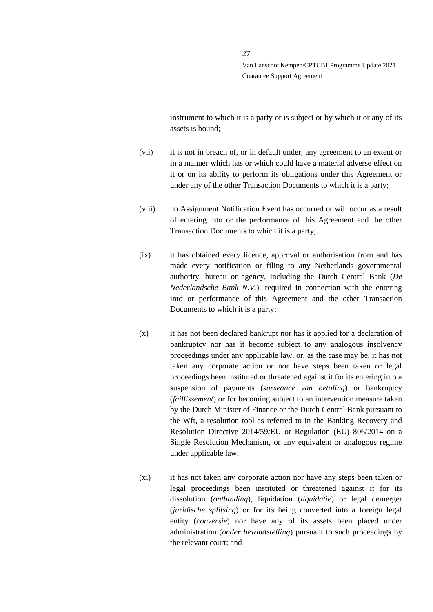instrument to which it is a party or is subject or by which it or any of its assets is bound;

- (vii) it is not in breach of, or in default under, any agreement to an extent or in a manner which has or which could have a material adverse effect on it or on its ability to perform its obligations under this Agreement or under any of the other Transaction Documents to which it is a party;
- (viii) no Assignment Notification Event has occurred or will occur as a result of entering into or the performance of this Agreement and the other Transaction Documents to which it is a party;
- (ix) it has obtained every licence, approval or authorisation from and has made every notification or filing to any Netherlands governmental authority, bureau or agency, including the Dutch Central Bank (*De Nederlandsche Bank N.V.*), required in connection with the entering into or performance of this Agreement and the other Transaction Documents to which it is a party;
- (x) it has not been declared bankrupt nor has it applied for a declaration of bankruptcy nor has it become subject to any analogous insolvency proceedings under any applicable law, or, as the case may be, it has not taken any corporate action or nor have steps been taken or legal proceedings been instituted or threatened against it for its entering into a suspension of payments (*surseance van betaling*) or bankruptcy (*faillissement*) or for becoming subject to an intervention measure taken by the Dutch Minister of Finance or the Dutch Central Bank pursuant to the Wft, a resolution tool as referred to in the Banking Recovery and Resolution Directive 2014/59/EU or Regulation (EU) 806/2014 on a Single Resolution Mechanism, or any equivalent or analogous regime under applicable law;
- (xi) it has not taken any corporate action nor have any steps been taken or legal proceedings been instituted or threatened against it for its dissolution (*ontbinding*), liquidation (*liquidatie*) or legal demerger (*juridische splitsing*) or for its being converted into a foreign legal entity (*conversie*) nor have any of its assets been placed under administration (*onder bewindstelling*) pursuant to such proceedings by the relevant court; and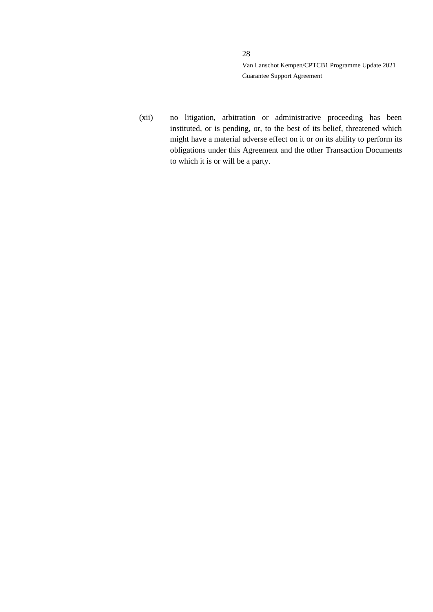(xii) no litigation, arbitration or administrative proceeding has been instituted, or is pending, or, to the best of its belief, threatened which might have a material adverse effect on it or on its ability to perform its obligations under this Agreement and the other Transaction Documents to which it is or will be a party.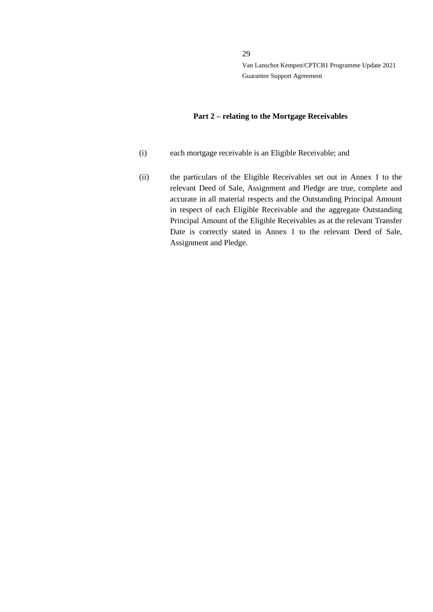#### **Part 2 – relating to the Mortgage Receivables**

- (i) each mortgage receivable is an Eligible Receivable; and
- (ii) the particulars of the Eligible Receivables set out in Annex 1 to the relevant Deed of Sale, Assignment and Pledge are true, complete and accurate in all material respects and the Outstanding Principal Amount in respect of each Eligible Receivable and the aggregate Outstanding Principal Amount of the Eligible Receivables as at the relevant Transfer Date is correctly stated in Annex 1 to the relevant Deed of Sale, Assignment and Pledge.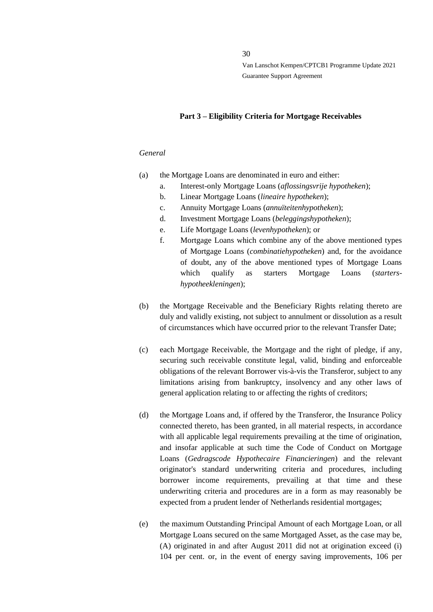30

Van Lanschot Kempen/CPTCB1 Programme Update 2021 Guarantee Support Agreement

#### **Part 3 – Eligibility Criteria for Mortgage Receivables**

#### *General*

- (a) the Mortgage Loans are denominated in euro and either:
	- a. Interest-only Mortgage Loans (*aflossingsvrije hypotheken*);
	- b. Linear Mortgage Loans (*lineaire hypotheken*);
	- c. Annuity Mortgage Loans (*annuïteitenhypotheken*);
	- d. Investment Mortgage Loans (*beleggingshypotheken*);
	- e. Life Mortgage Loans (*levenhypotheken*); or
	- f. Mortgage Loans which combine any of the above mentioned types of Mortgage Loans (*combinatiehypotheken*) and, for the avoidance of doubt, any of the above mentioned types of Mortgage Loans which qualify as starters Mortgage Loans (*startershypotheekleningen*);
- (b) the Mortgage Receivable and the Beneficiary Rights relating thereto are duly and validly existing, not subject to annulment or dissolution as a result of circumstances which have occurred prior to the relevant Transfer Date;
- (c) each Mortgage Receivable, the Mortgage and the right of pledge, if any, securing such receivable constitute legal, valid, binding and enforceable obligations of the relevant Borrower vis-à-vis the Transferor, subject to any limitations arising from bankruptcy, insolvency and any other laws of general application relating to or affecting the rights of creditors;
- (d) the Mortgage Loans and, if offered by the Transferor, the Insurance Policy connected thereto, has been granted, in all material respects, in accordance with all applicable legal requirements prevailing at the time of origination, and insofar applicable at such time the Code of Conduct on Mortgage Loans (*Gedragscode Hypothecaire Financieringen*) and the relevant originator's standard underwriting criteria and procedures, including borrower income requirements, prevailing at that time and these underwriting criteria and procedures are in a form as may reasonably be expected from a prudent lender of Netherlands residential mortgages;
- (e) the maximum Outstanding Principal Amount of each Mortgage Loan, or all Mortgage Loans secured on the same Mortgaged Asset, as the case may be, (A) originated in and after August 2011 did not at origination exceed (i) 104 per cent. or, in the event of energy saving improvements, 106 per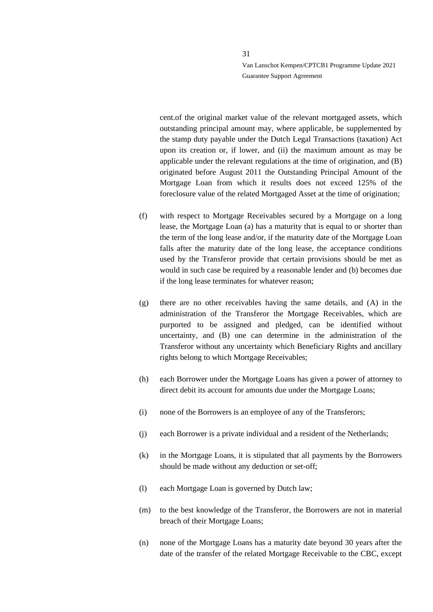cent.of the original market value of the relevant mortgaged assets, which outstanding principal amount may, where applicable, be supplemented by the stamp duty payable under the Dutch Legal Transactions (taxation) Act upon its creation or, if lower, and (ii) the maximum amount as may be applicable under the relevant regulations at the time of origination, and (B) originated before August 2011 the Outstanding Principal Amount of the Mortgage Loan from which it results does not exceed 125% of the foreclosure value of the related Mortgaged Asset at the time of origination;

- (f) with respect to Mortgage Receivables secured by a Mortgage on a long lease, the Mortgage Loan (a) has a maturity that is equal to or shorter than the term of the long lease and/or, if the maturity date of the Mortgage Loan falls after the maturity date of the long lease, the acceptance conditions used by the Transferor provide that certain provisions should be met as would in such case be required by a reasonable lender and (b) becomes due if the long lease terminates for whatever reason;
- (g) there are no other receivables having the same details, and (A) in the administration of the Transferor the Mortgage Receivables, which are purported to be assigned and pledged, can be identified without uncertainty, and (B) one can determine in the administration of the Transferor without any uncertainty which Beneficiary Rights and ancillary rights belong to which Mortgage Receivables;
- (h) each Borrower under the Mortgage Loans has given a power of attorney to direct debit its account for amounts due under the Mortgage Loans;
- (i) none of the Borrowers is an employee of any of the Transferors;
- (j) each Borrower is a private individual and a resident of the Netherlands;
- (k) in the Mortgage Loans, it is stipulated that all payments by the Borrowers should be made without any deduction or set-off;
- (l) each Mortgage Loan is governed by Dutch law;
- (m) to the best knowledge of the Transferor, the Borrowers are not in material breach of their Mortgage Loans;
- (n) none of the Mortgage Loans has a maturity date beyond 30 years after the date of the transfer of the related Mortgage Receivable to the CBC, except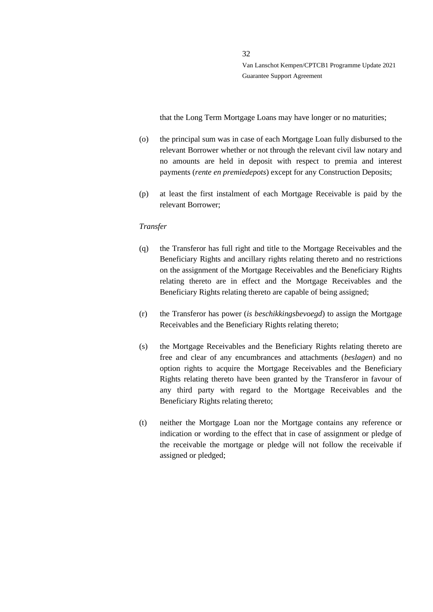that the Long Term Mortgage Loans may have longer or no maturities;

- (o) the principal sum was in case of each Mortgage Loan fully disbursed to the relevant Borrower whether or not through the relevant civil law notary and no amounts are held in deposit with respect to premia and interest payments (*rente en premiedepots*) except for any Construction Deposits;
- (p) at least the first instalment of each Mortgage Receivable is paid by the relevant Borrower;

# *Transfer*

- (q) the Transferor has full right and title to the Mortgage Receivables and the Beneficiary Rights and ancillary rights relating thereto and no restrictions on the assignment of the Mortgage Receivables and the Beneficiary Rights relating thereto are in effect and the Mortgage Receivables and the Beneficiary Rights relating thereto are capable of being assigned;
- (r) the Transferor has power (*is beschikkingsbevoegd*) to assign the Mortgage Receivables and the Beneficiary Rights relating thereto;
- (s) the Mortgage Receivables and the Beneficiary Rights relating thereto are free and clear of any encumbrances and attachments (*beslagen*) and no option rights to acquire the Mortgage Receivables and the Beneficiary Rights relating thereto have been granted by the Transferor in favour of any third party with regard to the Mortgage Receivables and the Beneficiary Rights relating thereto;
- (t) neither the Mortgage Loan nor the Mortgage contains any reference or indication or wording to the effect that in case of assignment or pledge of the receivable the mortgage or pledge will not follow the receivable if assigned or pledged;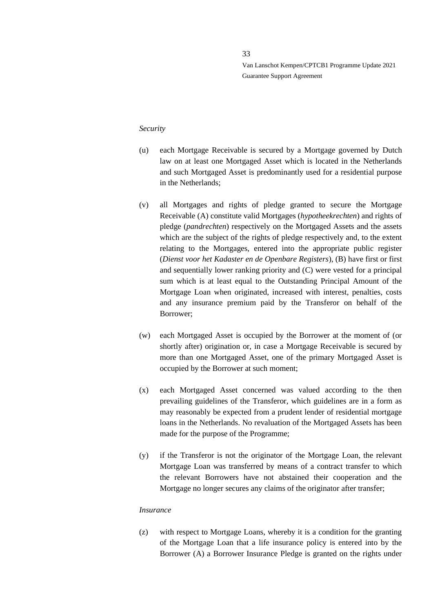#### *Security*

- (u) each Mortgage Receivable is secured by a Mortgage governed by Dutch law on at least one Mortgaged Asset which is located in the Netherlands and such Mortgaged Asset is predominantly used for a residential purpose in the Netherlands;
- (v) all Mortgages and rights of pledge granted to secure the Mortgage Receivable (A) constitute valid Mortgages (*hypotheekrechten*) and rights of pledge (*pandrechten*) respectively on the Mortgaged Assets and the assets which are the subject of the rights of pledge respectively and, to the extent relating to the Mortgages, entered into the appropriate public register (*Dienst voor het Kadaster en de Openbare Registers*), (B) have first or first and sequentially lower ranking priority and (C) were vested for a principal sum which is at least equal to the Outstanding Principal Amount of the Mortgage Loan when originated, increased with interest, penalties, costs and any insurance premium paid by the Transferor on behalf of the Borrower;
- (w) each Mortgaged Asset is occupied by the Borrower at the moment of (or shortly after) origination or, in case a Mortgage Receivable is secured by more than one Mortgaged Asset, one of the primary Mortgaged Asset is occupied by the Borrower at such moment;
- (x) each Mortgaged Asset concerned was valued according to the then prevailing guidelines of the Transferor, which guidelines are in a form as may reasonably be expected from a prudent lender of residential mortgage loans in the Netherlands. No revaluation of the Mortgaged Assets has been made for the purpose of the Programme;
- (y) if the Transferor is not the originator of the Mortgage Loan, the relevant Mortgage Loan was transferred by means of a contract transfer to which the relevant Borrowers have not abstained their cooperation and the Mortgage no longer secures any claims of the originator after transfer;

#### *Insurance*

(z) with respect to Mortgage Loans, whereby it is a condition for the granting of the Mortgage Loan that a life insurance policy is entered into by the Borrower (A) a Borrower Insurance Pledge is granted on the rights under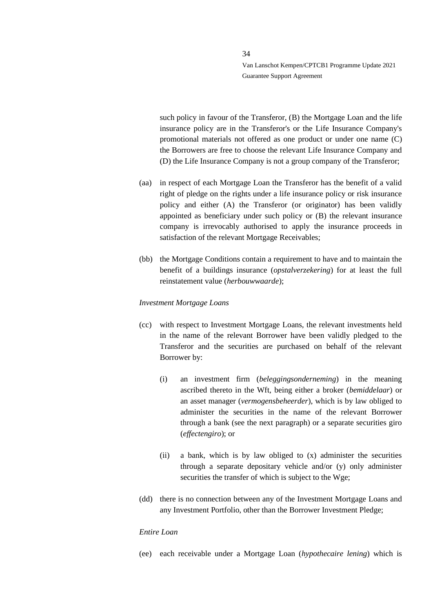such policy in favour of the Transferor, (B) the Mortgage Loan and the life insurance policy are in the Transferor's or the Life Insurance Company's promotional materials not offered as one product or under one name (C) the Borrowers are free to choose the relevant Life Insurance Company and (D) the Life Insurance Company is not a group company of the Transferor;

- (aa) in respect of each Mortgage Loan the Transferor has the benefit of a valid right of pledge on the rights under a life insurance policy or risk insurance policy and either (A) the Transferor (or originator) has been validly appointed as beneficiary under such policy or (B) the relevant insurance company is irrevocably authorised to apply the insurance proceeds in satisfaction of the relevant Mortgage Receivables;
- (bb) the Mortgage Conditions contain a requirement to have and to maintain the benefit of a buildings insurance (*opstalverzekering*) for at least the full reinstatement value (*herbouwwaarde*);

#### *Investment Mortgage Loans*

- (cc) with respect to Investment Mortgage Loans, the relevant investments held in the name of the relevant Borrower have been validly pledged to the Transferor and the securities are purchased on behalf of the relevant Borrower by:
	- (i) an investment firm (*beleggingsonderneming*) in the meaning ascribed thereto in the Wft, being either a broker (*bemiddelaar*) or an asset manager (*vermogensbeheerder*), which is by law obliged to administer the securities in the name of the relevant Borrower through a bank (see the next paragraph) or a separate securities giro (*effectengiro*); or
	- (ii) a bank, which is by law obliged to (x) administer the securities through a separate depositary vehicle and/or (y) only administer securities the transfer of which is subject to the Wge;
- (dd) there is no connection between any of the Investment Mortgage Loans and any Investment Portfolio, other than the Borrower Investment Pledge;

#### *Entire Loan*

(ee) each receivable under a Mortgage Loan (*hypothecaire lening*) which is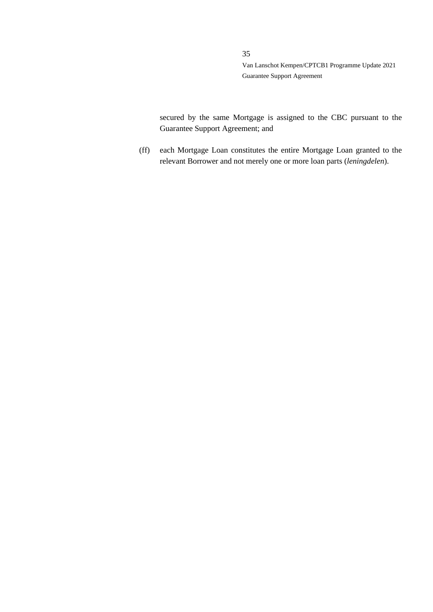secured by the same Mortgage is assigned to the CBC pursuant to the Guarantee Support Agreement; and

(ff) each Mortgage Loan constitutes the entire Mortgage Loan granted to the relevant Borrower and not merely one or more loan parts (*leningdelen*).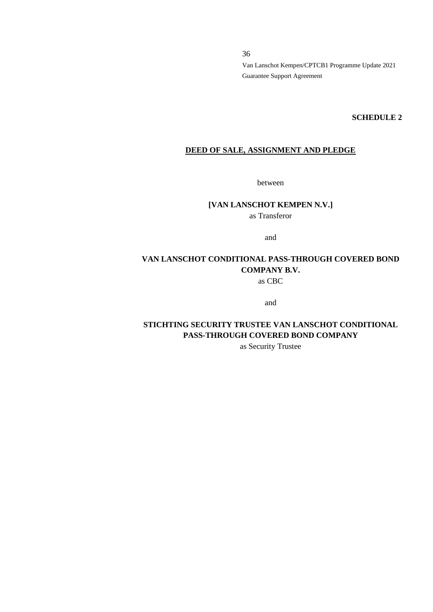#### **SCHEDULE 2**

# **DEED OF SALE, ASSIGNMENT AND PLEDGE**

between

# **[VAN LANSCHOT KEMPEN N.V.]**

as Transferor

and

# **VAN LANSCHOT CONDITIONAL PASS-THROUGH COVERED BOND COMPANY B.V.** as CBC

and

**STICHTING SECURITY TRUSTEE VAN LANSCHOT CONDITIONAL PASS-THROUGH COVERED BOND COMPANY**

as Security Trustee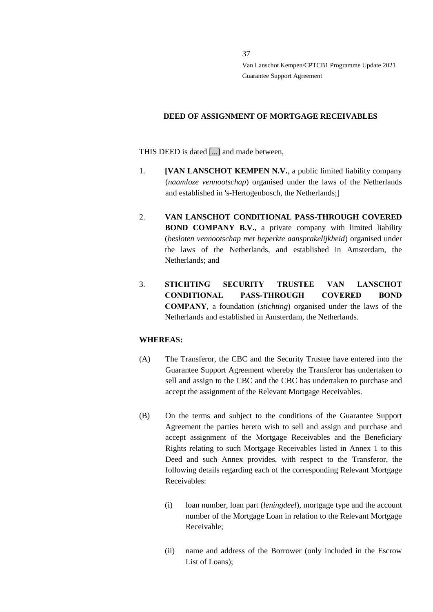## **DEED OF ASSIGNMENT OF MORTGAGE RECEIVABLES**

THIS DEED is dated [...] and made between,

- 1. **[VAN LANSCHOT KEMPEN N.V.**, a public limited liability company (*naamloze vennootschap*) organised under the laws of the Netherlands and established in 's-Hertogenbosch, the Netherlands;]
- 2. **VAN LANSCHOT CONDITIONAL PASS-THROUGH COVERED BOND COMPANY B.V.**, a private company with limited liability (*besloten vennootschap met beperkte aansprakelijkheid*) organised under the laws of the Netherlands, and established in Amsterdam, the Netherlands; and
- 3. **STICHTING SECURITY TRUSTEE VAN LANSCHOT CONDITIONAL PASS-THROUGH COVERED BOND COMPANY**, a foundation (*stichting*) organised under the laws of the Netherlands and established in Amsterdam, the Netherlands.

# **WHEREAS:**

- (A) The Transferor, the CBC and the Security Trustee have entered into the Guarantee Support Agreement whereby the Transferor has undertaken to sell and assign to the CBC and the CBC has undertaken to purchase and accept the assignment of the Relevant Mortgage Receivables.
- (B) On the terms and subject to the conditions of the Guarantee Support Agreement the parties hereto wish to sell and assign and purchase and accept assignment of the Mortgage Receivables and the Beneficiary Rights relating to such Mortgage Receivables listed in Annex 1 to this Deed and such Annex provides, with respect to the Transferor, the following details regarding each of the corresponding Relevant Mortgage Receivables:
	- (i) loan number, loan part (*leningdeel*), mortgage type and the account number of the Mortgage Loan in relation to the Relevant Mortgage Receivable;
	- (ii) name and address of the Borrower (only included in the Escrow List of Loans);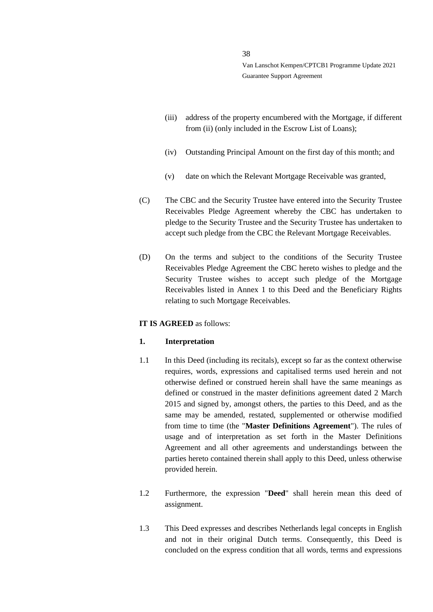- (iii) address of the property encumbered with the Mortgage, if different from (ii) (only included in the Escrow List of Loans);
- (iv) Outstanding Principal Amount on the first day of this month; and
- (v) date on which the Relevant Mortgage Receivable was granted,
- (C) The CBC and the Security Trustee have entered into the Security Trustee Receivables Pledge Agreement whereby the CBC has undertaken to pledge to the Security Trustee and the Security Trustee has undertaken to accept such pledge from the CBC the Relevant Mortgage Receivables.
- (D) On the terms and subject to the conditions of the Security Trustee Receivables Pledge Agreement the CBC hereto wishes to pledge and the Security Trustee wishes to accept such pledge of the Mortgage Receivables listed in Annex 1 to this Deed and the Beneficiary Rights relating to such Mortgage Receivables.

#### **IT IS AGREED** as follows:

#### **1. Interpretation**

- 1.1 In this Deed (including its recitals), except so far as the context otherwise requires, words, expressions and capitalised terms used herein and not otherwise defined or construed herein shall have the same meanings as defined or construed in the master definitions agreement dated 2 March 2015 and signed by, amongst others, the parties to this Deed, and as the same may be amended, restated, supplemented or otherwise modified from time to time (the "**Master Definitions Agreement**"). The rules of usage and of interpretation as set forth in the Master Definitions Agreement and all other agreements and understandings between the parties hereto contained therein shall apply to this Deed, unless otherwise provided herein.
- 1.2 Furthermore, the expression "**Deed**" shall herein mean this deed of assignment.
- 1.3 This Deed expresses and describes Netherlands legal concepts in English and not in their original Dutch terms. Consequently, this Deed is concluded on the express condition that all words, terms and expressions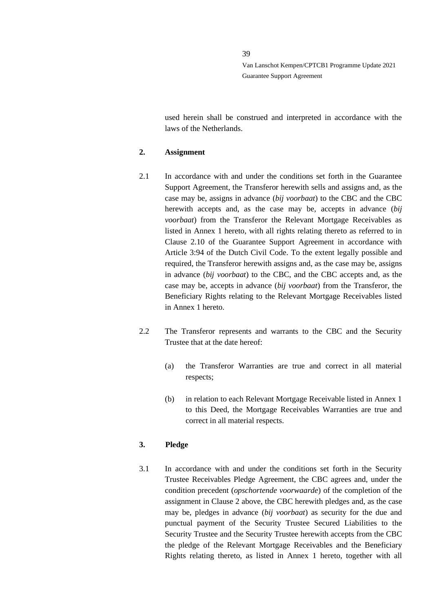used herein shall be construed and interpreted in accordance with the laws of the Netherlands.

### **2. Assignment**

- 2.1 In accordance with and under the conditions set forth in the Guarantee Support Agreement, the Transferor herewith sells and assigns and, as the case may be, assigns in advance (*bij voorbaat*) to the CBC and the CBC herewith accepts and, as the case may be, accepts in advance (*bij voorbaat*) from the Transferor the Relevant Mortgage Receivables as listed in Annex 1 hereto, with all rights relating thereto as referred to in Clause 2.10 of the Guarantee Support Agreement in accordance with Article 3:94 of the Dutch Civil Code. To the extent legally possible and required, the Transferor herewith assigns and, as the case may be, assigns in advance (*bij voorbaat*) to the CBC, and the CBC accepts and, as the case may be, accepts in advance (*bij voorbaat*) from the Transferor, the Beneficiary Rights relating to the Relevant Mortgage Receivables listed in Annex 1 hereto.
- 2.2 The Transferor represents and warrants to the CBC and the Security Trustee that at the date hereof:
	- (a) the Transferor Warranties are true and correct in all material respects;
	- (b) in relation to each Relevant Mortgage Receivable listed in Annex 1 to this Deed, the Mortgage Receivables Warranties are true and correct in all material respects.

# **3. Pledge**

3.1 In accordance with and under the conditions set forth in the Security Trustee Receivables Pledge Agreement, the CBC agrees and, under the condition precedent (*opschortende voorwaarde*) of the completion of the assignment in Clause 2 above, the CBC herewith pledges and, as the case may be, pledges in advance (*bij voorbaat*) as security for the due and punctual payment of the Security Trustee Secured Liabilities to the Security Trustee and the Security Trustee herewith accepts from the CBC the pledge of the Relevant Mortgage Receivables and the Beneficiary Rights relating thereto, as listed in Annex 1 hereto, together with all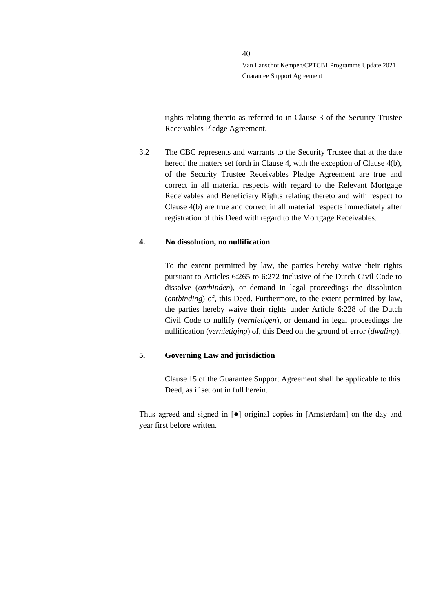rights relating thereto as referred to in Clause 3 of the Security Trustee Receivables Pledge Agreement.

3.2 The CBC represents and warrants to the Security Trustee that at the date hereof the matters set forth in Clause 4, with the exception of Clause 4(b), of the Security Trustee Receivables Pledge Agreement are true and correct in all material respects with regard to the Relevant Mortgage Receivables and Beneficiary Rights relating thereto and with respect to Clause 4(b) are true and correct in all material respects immediately after registration of this Deed with regard to the Mortgage Receivables.

# **4. No dissolution, no nullification**

To the extent permitted by law, the parties hereby waive their rights pursuant to Articles 6:265 to 6:272 inclusive of the Dutch Civil Code to dissolve (*ontbinden*), or demand in legal proceedings the dissolution (*ontbinding*) of, this Deed. Furthermore, to the extent permitted by law, the parties hereby waive their rights under Article 6:228 of the Dutch Civil Code to nullify (*vernietigen*), or demand in legal proceedings the nullification (*vernietiging*) of, this Deed on the ground of error (*dwaling*).

# **5. Governing Law and jurisdiction**

Clause 15 of the Guarantee Support Agreement shall be applicable to this Deed, as if set out in full herein.

Thus agreed and signed in [●] original copies in [Amsterdam] on the day and year first before written.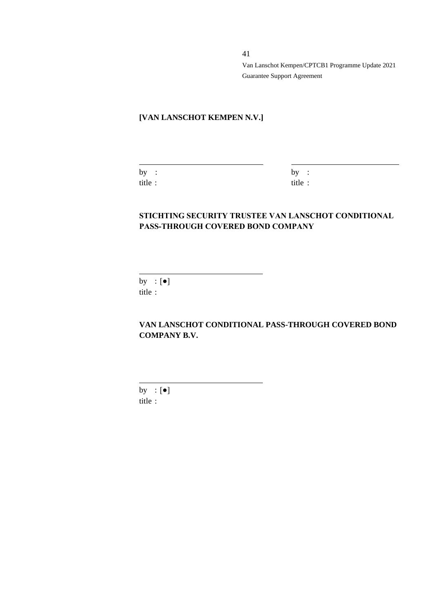# **[VAN LANSCHOT KEMPEN N.V.]**

| by     |  |
|--------|--|
| title: |  |

 $by :$ title :

# **STICHTING SECURITY TRUSTEE VAN LANSCHOT CONDITIONAL PASS-THROUGH COVERED BOND COMPANY**

by :  $[\bullet]$ title :

**VAN LANSCHOT CONDITIONAL PASS-THROUGH COVERED BOND COMPANY B.V.**

by  $:[\bullet]$ title :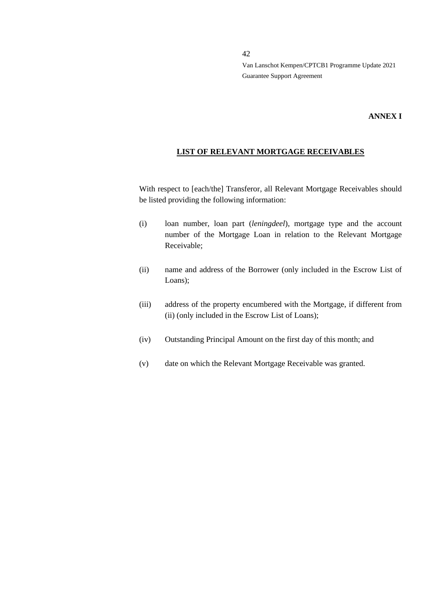#### **ANNEX I**

### **LIST OF RELEVANT MORTGAGE RECEIVABLES**

With respect to [each/the] Transferor, all Relevant Mortgage Receivables should be listed providing the following information:

- (i) loan number, loan part (*leningdeel*), mortgage type and the account number of the Mortgage Loan in relation to the Relevant Mortgage Receivable;
- (ii) name and address of the Borrower (only included in the Escrow List of Loans);
- (iii) address of the property encumbered with the Mortgage, if different from (ii) (only included in the Escrow List of Loans);
- (iv) Outstanding Principal Amount on the first day of this month; and
- (v) date on which the Relevant Mortgage Receivable was granted.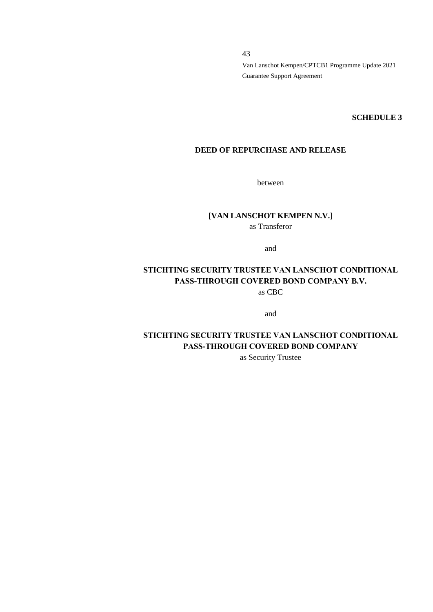#### **SCHEDULE 3**

# **DEED OF REPURCHASE AND RELEASE**

between

# **[VAN LANSCHOT KEMPEN N.V.]** as Transferor

and

# **STICHTING SECURITY TRUSTEE VAN LANSCHOT CONDITIONAL PASS-THROUGH COVERED BOND COMPANY B.V.**

as CBC

and

# **STICHTING SECURITY TRUSTEE VAN LANSCHOT CONDITIONAL PASS-THROUGH COVERED BOND COMPANY**

as Security Trustee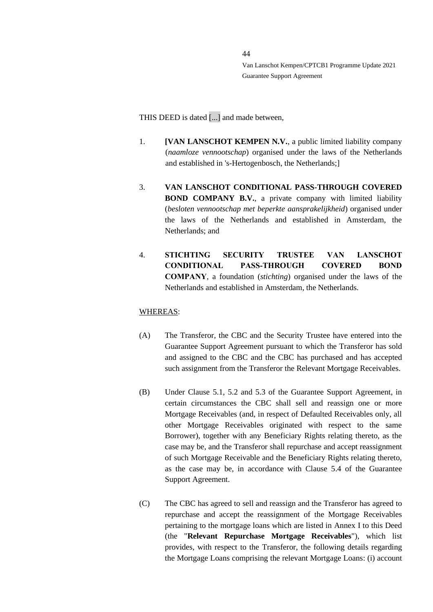THIS DEED is dated [...] and made between,

- 1. **[VAN LANSCHOT KEMPEN N.V.**, a public limited liability company (*naamloze vennootschap*) organised under the laws of the Netherlands and established in 's-Hertogenbosch, the Netherlands;]
- 3. **VAN LANSCHOT CONDITIONAL PASS-THROUGH COVERED BOND COMPANY B.V.**, a private company with limited liability (*besloten vennootschap met beperkte aansprakelijkheid*) organised under the laws of the Netherlands and established in Amsterdam, the Netherlands; and
- 4. **STICHTING SECURITY TRUSTEE VAN LANSCHOT CONDITIONAL PASS-THROUGH COVERED BOND COMPANY**, a foundation (*stichting*) organised under the laws of the Netherlands and established in Amsterdam, the Netherlands.

#### WHEREAS:

- (A) The Transferor, the CBC and the Security Trustee have entered into the Guarantee Support Agreement pursuant to which the Transferor has sold and assigned to the CBC and the CBC has purchased and has accepted such assignment from the Transferor the Relevant Mortgage Receivables.
- (B) Under Clause 5.1, 5.2 and 5.3 of the Guarantee Support Agreement, in certain circumstances the CBC shall sell and reassign one or more Mortgage Receivables (and, in respect of Defaulted Receivables only, all other Mortgage Receivables originated with respect to the same Borrower), together with any Beneficiary Rights relating thereto, as the case may be, and the Transferor shall repurchase and accept reassignment of such Mortgage Receivable and the Beneficiary Rights relating thereto, as the case may be, in accordance with Clause 5.4 of the Guarantee Support Agreement.
- (C) The CBC has agreed to sell and reassign and the Transferor has agreed to repurchase and accept the reassignment of the Mortgage Receivables pertaining to the mortgage loans which are listed in Annex I to this Deed (the "**Relevant Repurchase Mortgage Receivables**"), which list provides, with respect to the Transferor, the following details regarding the Mortgage Loans comprising the relevant Mortgage Loans: (i) account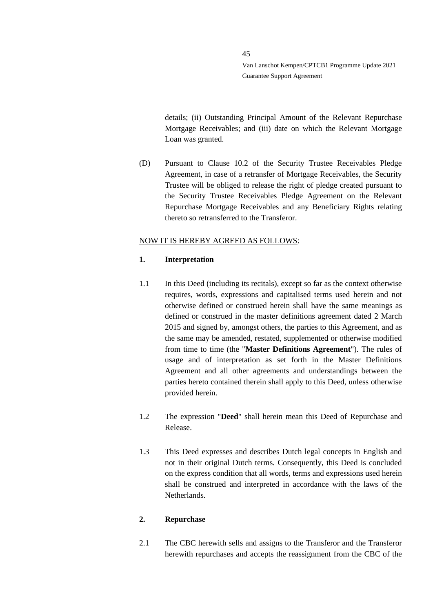details; (ii) Outstanding Principal Amount of the Relevant Repurchase Mortgage Receivables; and (iii) date on which the Relevant Mortgage Loan was granted.

(D) Pursuant to Clause 10.2 of the Security Trustee Receivables Pledge Agreement, in case of a retransfer of Mortgage Receivables, the Security Trustee will be obliged to release the right of pledge created pursuant to the Security Trustee Receivables Pledge Agreement on the Relevant Repurchase Mortgage Receivables and any Beneficiary Rights relating thereto so retransferred to the Transferor.

#### NOW IT IS HEREBY AGREED AS FOLLOWS:

#### **1. Interpretation**

- 1.1 In this Deed (including its recitals), except so far as the context otherwise requires, words, expressions and capitalised terms used herein and not otherwise defined or construed herein shall have the same meanings as defined or construed in the master definitions agreement dated 2 March 2015 and signed by, amongst others, the parties to this Agreement, and as the same may be amended, restated, supplemented or otherwise modified from time to time (the "**Master Definitions Agreement**"). The rules of usage and of interpretation as set forth in the Master Definitions Agreement and all other agreements and understandings between the parties hereto contained therein shall apply to this Deed, unless otherwise provided herein.
- 1.2 The expression "**Deed**" shall herein mean this Deed of Repurchase and Release.
- 1.3 This Deed expresses and describes Dutch legal concepts in English and not in their original Dutch terms. Consequently, this Deed is concluded on the express condition that all words, terms and expressions used herein shall be construed and interpreted in accordance with the laws of the Netherlands.

#### **2. Repurchase**

2.1 The CBC herewith sells and assigns to the Transferor and the Transferor herewith repurchases and accepts the reassignment from the CBC of the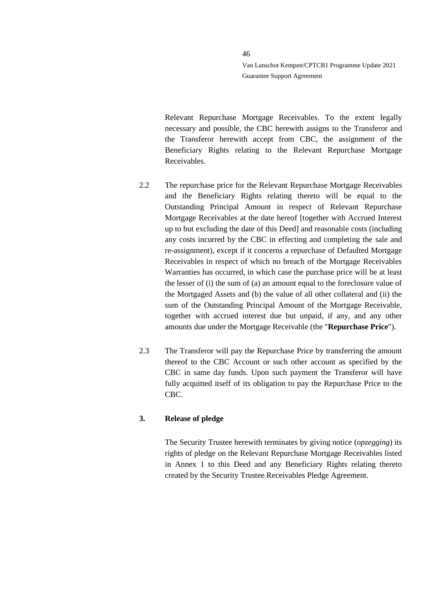Relevant Repurchase Mortgage Receivables. To the extent legally necessary and possible, the CBC herewith assigns to the Transferor and the Transferor herewith accept from CBC, the assignment of the Beneficiary Rights relating to the Relevant Repurchase Mortgage Receivables.

- 2.2 The repurchase price for the Relevant Repurchase Mortgage Receivables and the Beneficiary Rights relating thereto will be equal to the Outstanding Principal Amount in respect of Relevant Repurchase Mortgage Receivables at the date hereof [together with Accrued Interest up to but excluding the date of this Deed] and reasonable costs (including any costs incurred by the CBC in effecting and completing the sale and re-assignment), except if it concerns a repurchase of Defaulted Mortgage Receivables in respect of which no breach of the Mortgage Receivables Warranties has occurred, in which case the purchase price will be at least the lesser of (i) the sum of (a) an amount equal to the foreclosure value of the Mortgaged Assets and (b) the value of all other collateral and (ii) the sum of the Outstanding Principal Amount of the Mortgage Receivable, together with accrued interest due but unpaid, if any, and any other amounts due under the Mortgage Receivable (the "**Repurchase Price**").
- 2.3 The Transferor will pay the Repurchase Price by transferring the amount thereof to the CBC Account or such other account as specified by the CBC in same day funds. Upon such payment the Transferor will have fully acquitted itself of its obligation to pay the Repurchase Price to the CBC.

# **3. Release of pledge**

The Security Trustee herewith terminates by giving notice (*opzegging*) its rights of pledge on the Relevant Repurchase Mortgage Receivables listed in Annex 1 to this Deed and any Beneficiary Rights relating thereto created by the Security Trustee Receivables Pledge Agreement.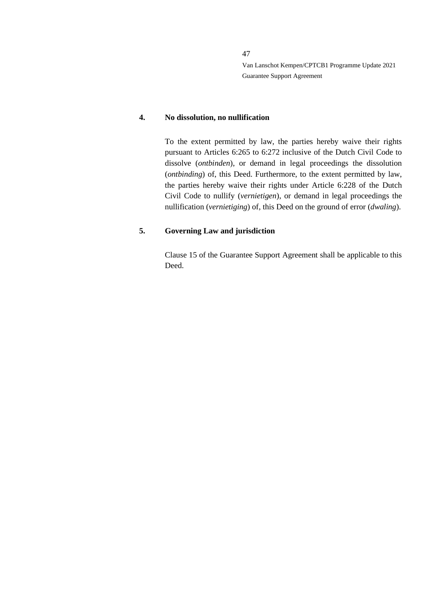## **4. No dissolution, no nullification**

To the extent permitted by law, the parties hereby waive their rights pursuant to Articles 6:265 to 6:272 inclusive of the Dutch Civil Code to dissolve (*ontbinden*), or demand in legal proceedings the dissolution (*ontbinding*) of, this Deed. Furthermore, to the extent permitted by law, the parties hereby waive their rights under Article 6:228 of the Dutch Civil Code to nullify (*vernietigen*), or demand in legal proceedings the nullification (*vernietiging*) of, this Deed on the ground of error (*dwaling*).

#### **5. Governing Law and jurisdiction**

Clause 15 of the Guarantee Support Agreement shall be applicable to this Deed.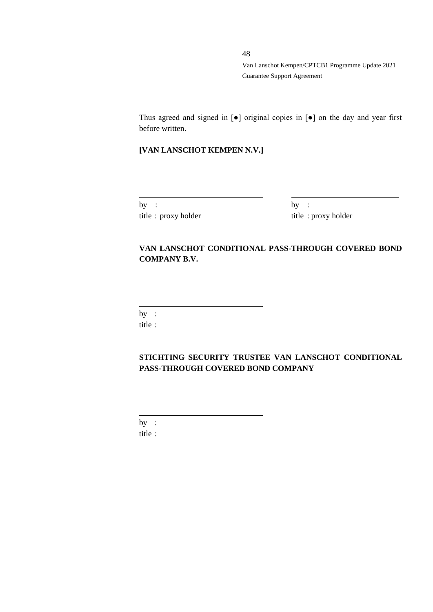Thus agreed and signed in [●] original copies in [●] on the day and year first before written.

# **[VAN LANSCHOT KEMPEN N.V.]**

| by |  |                     |
|----|--|---------------------|
|    |  | title: proxy holder |

 $by :$ title : proxy holder

# **VAN LANSCHOT CONDITIONAL PASS-THROUGH COVERED BOND COMPANY B.V.**

by :

title :

**STICHTING SECURITY TRUSTEE VAN LANSCHOT CONDITIONAL PASS-THROUGH COVERED BOND COMPANY**

by : title :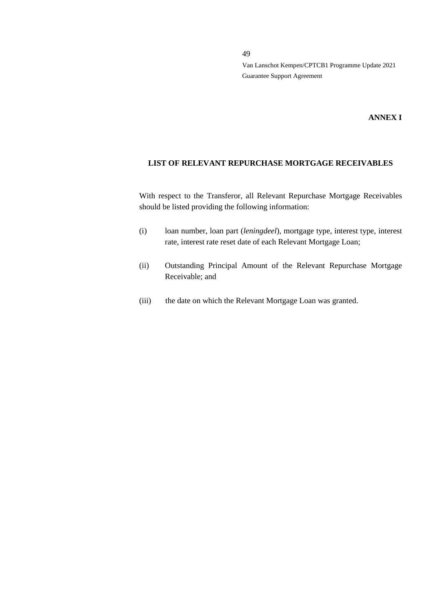# **ANNEX I**

# **LIST OF RELEVANT REPURCHASE MORTGAGE RECEIVABLES**

With respect to the Transferor, all Relevant Repurchase Mortgage Receivables should be listed providing the following information:

- (i) loan number, loan part (*leningdeel*), mortgage type, interest type, interest rate, interest rate reset date of each Relevant Mortgage Loan;
- (ii) Outstanding Principal Amount of the Relevant Repurchase Mortgage Receivable; and
- (iii) the date on which the Relevant Mortgage Loan was granted.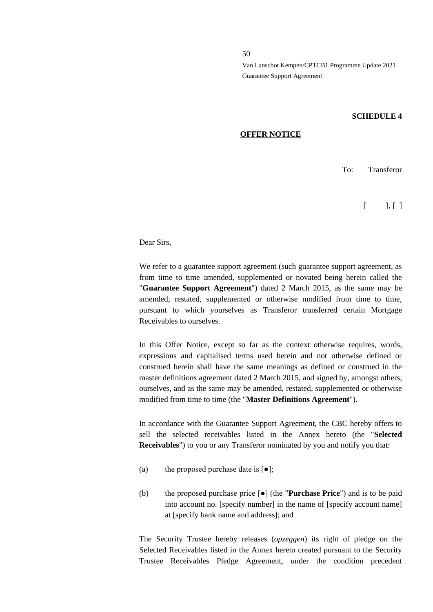#### **SCHEDULE 4**

#### **OFFER NOTICE**

To: Transferor

 $\begin{bmatrix} \end{bmatrix}$ 

Dear Sirs,

We refer to a guarantee support agreement (such guarantee support agreement, as from time to time amended, supplemented or novated being herein called the "**Guarantee Support Agreement**") dated 2 March 2015, as the same may be amended, restated, supplemented or otherwise modified from time to time, pursuant to which yourselves as Transferor transferred certain Mortgage Receivables to ourselves.

In this Offer Notice, except so far as the context otherwise requires, words, expressions and capitalised terms used herein and not otherwise defined or construed herein shall have the same meanings as defined or construed in the master definitions agreement dated 2 March 2015, and signed by, amongst others, ourselves, and as the same may be amended, restated, supplemented or otherwise modified from time to time (the "**Master Definitions Agreement**").

In accordance with the Guarantee Support Agreement, the CBC hereby offers to sell the selected receivables listed in the Annex hereto (the "**Selected Receivables**") to you or any Transferor nominated by you and notify you that:

- (a) the proposed purchase date is  $\lceil \bullet \rceil$ ;
- (b) the proposed purchase price [●] (the "**Purchase Price**") and is to be paid into account no. [specify number] in the name of [specify account name] at [specify bank name and address]; and

The Security Trustee hereby releases (*opzeggen*) its right of pledge on the Selected Receivables listed in the Annex hereto created pursuant to the Security Trustee Receivables Pledge Agreement, under the condition precedent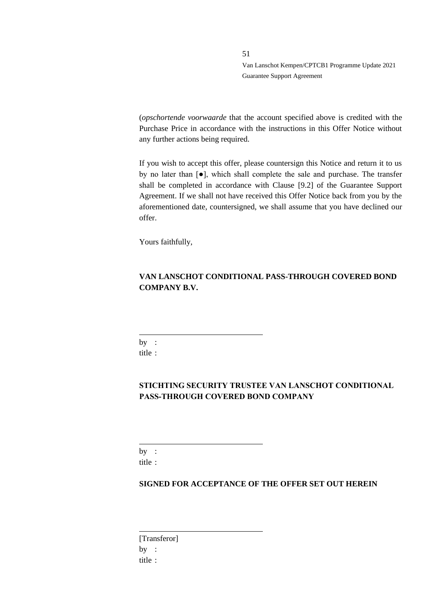(*opschortende voorwaarde* that the account specified above is credited with the Purchase Price in accordance with the instructions in this Offer Notice without any further actions being required.

If you wish to accept this offer, please countersign this Notice and return it to us by no later than [●], which shall complete the sale and purchase. The transfer shall be completed in accordance with Clause [9.2] of the Guarantee Support Agreement. If we shall not have received this Offer Notice back from you by the aforementioned date, countersigned, we shall assume that you have declined our offer.

Yours faithfully,

# **VAN LANSCHOT CONDITIONAL PASS-THROUGH COVERED BOND COMPANY B.V.**

 $by:$ title :

# **STICHTING SECURITY TRUSTEE VAN LANSCHOT CONDITIONAL PASS-THROUGH COVERED BOND COMPANY**

by : title :

# **SIGNED FOR ACCEPTANCE OF THE OFFER SET OUT HEREIN**

[Transferor] by : title :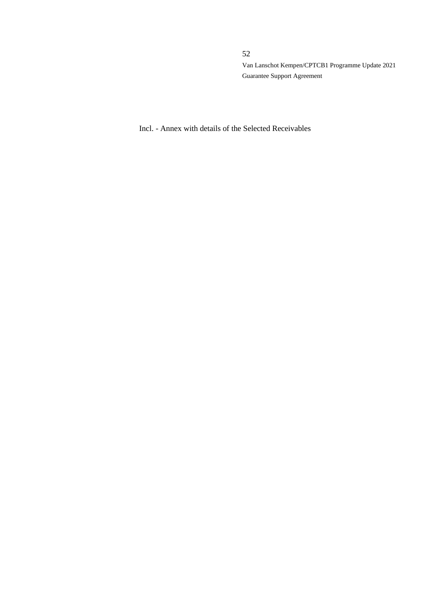Incl. - Annex with details of the Selected Receivables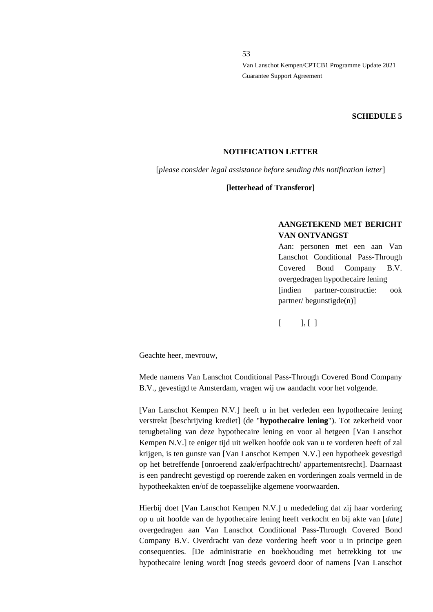53

Van Lanschot Kempen/CPTCB1 Programme Update 2021 Guarantee Support Agreement

#### **SCHEDULE 5**

#### **NOTIFICATION LETTER**

[*please consider legal assistance before sending this notification letter*]

**[letterhead of Transferor]**

# **AANGETEKEND MET BERICHT VAN ONTVANGST**

Aan: personen met een aan Van Lanschot Conditional Pass-Through Covered Bond Company B.V. overgedragen hypothecaire lening [indien partner-constructie: ook partner/ begunstigde(n)]

 $[$   $], [$   $]$ 

Geachte heer, mevrouw,

Mede namens Van Lanschot Conditional Pass-Through Covered Bond Company B.V., gevestigd te Amsterdam, vragen wij uw aandacht voor het volgende.

[Van Lanschot Kempen N.V.] heeft u in het verleden een hypothecaire lening verstrekt [beschrijving krediet] (de "**hypothecaire lening**"). Tot zekerheid voor terugbetaling van deze hypothecaire lening en voor al hetgeen [Van Lanschot Kempen N.V.] te eniger tijd uit welken hoofde ook van u te vorderen heeft of zal krijgen, is ten gunste van [Van Lanschot Kempen N.V.] een hypotheek gevestigd op het betreffende [onroerend zaak/erfpachtrecht/ appartementsrecht]. Daarnaast is een pandrecht gevestigd op roerende zaken en vorderingen zoals vermeld in de hypotheekakten en/of de toepasselijke algemene voorwaarden.

Hierbij doet [Van Lanschot Kempen N.V.] u mededeling dat zij haar vordering op u uit hoofde van de hypothecaire lening heeft verkocht en bij akte van [*date*] overgedragen aan Van Lanschot Conditional Pass-Through Covered Bond Company B.V. Overdracht van deze vordering heeft voor u in principe geen consequenties. [De administratie en boekhouding met betrekking tot uw hypothecaire lening wordt [nog steeds gevoerd door of namens [Van Lanschot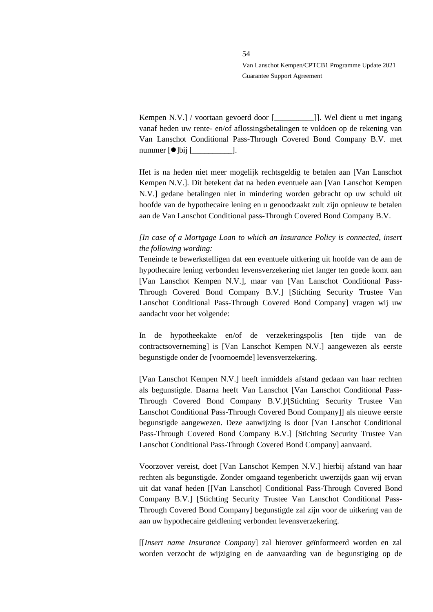Kempen N.V.] / voortaan gevoerd door [\_\_\_\_\_\_\_\_\_\_]]. Wel dient u met ingang vanaf heden uw rente- en/of aflossingsbetalingen te voldoen op de rekening van Van Lanschot Conditional Pass-Through Covered Bond Company B.V. met nummer  $\lceil \bullet \rceil$ bij  $\lceil \bullet \rfloor$ .

Het is na heden niet meer mogelijk rechtsgeldig te betalen aan [Van Lanschot Kempen N.V.]. Dit betekent dat na heden eventuele aan [Van Lanschot Kempen N.V.] gedane betalingen niet in mindering worden gebracht op uw schuld uit hoofde van de hypothecaire lening en u genoodzaakt zult zijn opnieuw te betalen aan de Van Lanschot Conditional pass-Through Covered Bond Company B.V.

# *[In case of a Mortgage Loan to which an Insurance Policy is connected, insert the following wording:*

Teneinde te bewerkstelligen dat een eventuele uitkering uit hoofde van de aan de hypothecaire lening verbonden levensverzekering niet langer ten goede komt aan [Van Lanschot Kempen N.V.], maar van [Van Lanschot Conditional Pass-Through Covered Bond Company B.V.] [Stichting Security Trustee Van Lanschot Conditional Pass-Through Covered Bond Company] vragen wij uw aandacht voor het volgende:

In de hypotheekakte en/of de verzekeringspolis [ten tijde van de contractsoverneming] is [Van Lanschot Kempen N.V.] aangewezen als eerste begunstigde onder de [voornoemde] levensverzekering.

[Van Lanschot Kempen N.V.] heeft inmiddels afstand gedaan van haar rechten als begunstigde. Daarna heeft Van Lanschot [Van Lanschot Conditional Pass-Through Covered Bond Company B.V.]/[Stichting Security Trustee Van Lanschot Conditional Pass-Through Covered Bond Company]] als nieuwe eerste begunstigde aangewezen. Deze aanwijzing is door [Van Lanschot Conditional Pass-Through Covered Bond Company B.V.] [Stichting Security Trustee Van Lanschot Conditional Pass-Through Covered Bond Company] aanvaard.

Voorzover vereist, doet [Van Lanschot Kempen N.V.] hierbij afstand van haar rechten als begunstigde. Zonder omgaand tegenbericht uwerzijds gaan wij ervan uit dat vanaf heden [[Van Lanschot] Conditional Pass-Through Covered Bond Company B.V.] [Stichting Security Trustee Van Lanschot Conditional Pass-Through Covered Bond Company] begunstigde zal zijn voor de uitkering van de aan uw hypothecaire geldlening verbonden levensverzekering.

[[*Insert name Insurance Company*] zal hierover geïnformeerd worden en zal worden verzocht de wijziging en de aanvaarding van de begunstiging op de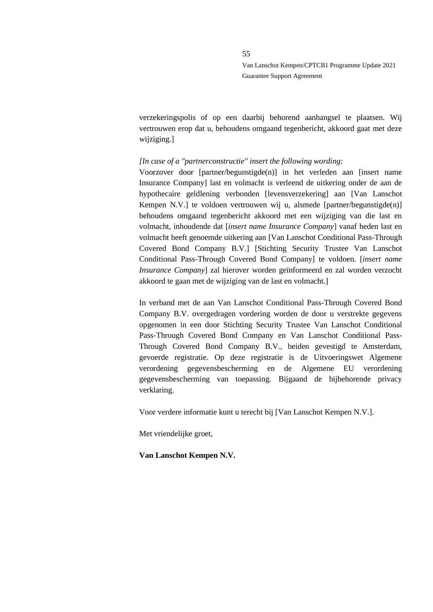verzekeringspolis of op een daarbij behorend aanhangsel te plaatsen. Wij vertrouwen erop dat u, behoudens omgaand tegenbericht, akkoord gaat met deze wijziging.]

#### *[In case of a "partnerconstructie" insert the following wording:*

Voorzover door [partner/begunstigde(n)] in het verleden aan [insert name Insurance Company] last en volmacht is verleend de uitkering onder de aan de hypothecaire geldlening verbonden [levensverzekering] aan [Van Lanschot Kempen N.V.] te voldoen vertrouwen wij u, alsmede [partner/begunstigde(n)] behoudens omgaand tegenbericht akkoord met een wijziging van die last en volmacht, inhoudende dat [*insert name Insurance Company*] vanaf heden last en volmacht heeft genoemde uitkering aan [Van Lanschot Conditional Pass-Through Covered Bond Company B.V.] [Stichting Security Trustee Van Lanschot Conditional Pass-Through Covered Bond Company] te voldoen. [*insert name Insurance Company*] zal hierover worden geïnformeerd en zal worden verzocht akkoord te gaan met de wijziging van de last en volmacht.]

In verband met de aan Van Lanschot Conditional Pass-Through Covered Bond Company B.V. overgedragen vordering worden de door u verstrekte gegevens opgenomen in een door Stichting Security Trustee Van Lanschot Conditional Pass-Through Covered Bond Company en Van Lanschot Conditional Pass-Through Covered Bond Company B.V., beiden gevestigd te Amsterdam, gevoerde registratie. Op deze registratie is de Uitvoeringswet Algemene verordening gegevensbescherming en de Algemene EU verordening gegevensbescherming van toepassing. Bijgaand de bijbehorende privacy verklaring.

Voor verdere informatie kunt u terecht bij [Van Lanschot Kempen N.V.].

Met vriendelijke groet,

**Van Lanschot Kempen N.V.**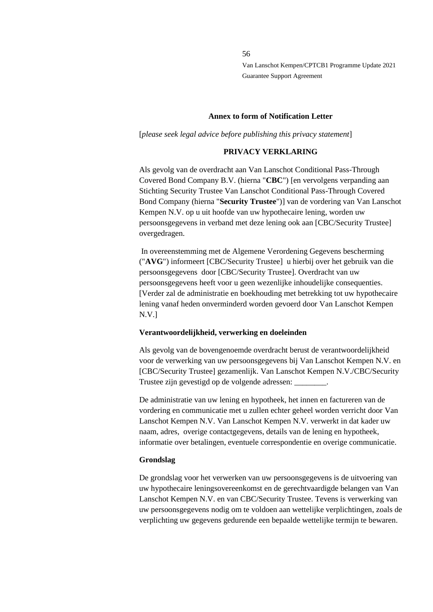#### **Annex to form of Notification Letter**

[*please seek legal advice before publishing this privacy statement*]

#### **PRIVACY VERKLARING**

Als gevolg van de overdracht aan Van Lanschot Conditional Pass-Through Covered Bond Company B.V. (hierna "**CBC**") [en vervolgens verpanding aan Stichting Security Trustee Van Lanschot Conditional Pass-Through Covered Bond Company (hierna "**Security Trustee**")] van de vordering van Van Lanschot Kempen N.V. op u uit hoofde van uw hypothecaire lening, worden uw persoonsgegevens in verband met deze lening ook aan [CBC/Security Trustee] overgedragen.

In overeenstemming met de Algemene Verordening Gegevens bescherming ("**AVG**") informeert [CBC/Security Trustee] u hierbij over het gebruik van die persoonsgegevens door [CBC/Security Trustee]. Overdracht van uw persoonsgegevens heeft voor u geen wezenlijke inhoudelijke consequenties. [Verder zal de administratie en boekhouding met betrekking tot uw hypothecaire lening vanaf heden onverminderd worden gevoerd door Van Lanschot Kempen N.V.]

#### **Verantwoordelijkheid, verwerking en doeleinden**

Als gevolg van de bovengenoemde overdracht berust de verantwoordelijkheid voor de verwerking van uw persoonsgegevens bij Van Lanschot Kempen N.V. en [CBC/Security Trustee] gezamenlijk. Van Lanschot Kempen N.V./CBC/Security Trustee zijn gevestigd op de volgende adressen: \_\_\_\_\_\_\_\_.

De administratie van uw lening en hypotheek, het innen en factureren van de vordering en communicatie met u zullen echter geheel worden verricht door Van Lanschot Kempen N.V. Van Lanschot Kempen N.V. verwerkt in dat kader uw naam, adres, overige contactgegevens, details van de lening en hypotheek, informatie over betalingen, eventuele correspondentie en overige communicatie.

#### **Grondslag**

De grondslag voor het verwerken van uw persoonsgegevens is de uitvoering van uw hypothecaire leningsovereenkomst en de gerechtvaardigde belangen van Van Lanschot Kempen N.V. en van CBC/Security Trustee. Tevens is verwerking van uw persoonsgegevens nodig om te voldoen aan wettelijke verplichtingen, zoals de verplichting uw gegevens gedurende een bepaalde wettelijke termijn te bewaren.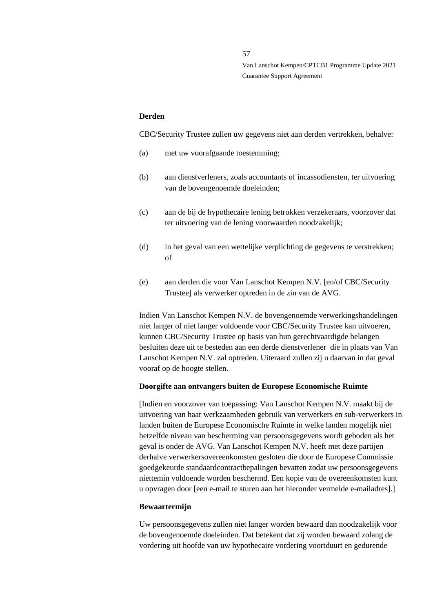#### **Derden**

CBC/Security Trustee zullen uw gegevens niet aan derden vertrekken, behalve:

- (a) met uw voorafgaande toestemming;
- (b) aan dienstverleners, zoals accountants of incassodiensten, ter uitvoering van de bovengenoemde doeleinden;
- (c) aan de bij de hypothecaire lening betrokken verzekeraars, voorzover dat ter uitvoering van de lening voorwaarden noodzakelijk;
- (d) in het geval van een wettelijke verplichting de gegevens te verstrekken; of
- (e) aan derden die voor Van Lanschot Kempen N.V. [en/of CBC/Security Trustee] als verwerker optreden in de zin van de AVG.

Indien Van Lanschot Kempen N.V. de bovengenoemde verwerkingshandelingen niet langer of niet langer voldoende voor CBC/Security Trustee kan uitvoeren, kunnen CBC/Security Trustee op basis van hun gerechtvaardigde belangen besluiten deze uit te besteden aan een derde dienstverlener die in plaats van Van Lanschot Kempen N.V. zal optreden. Uiteraard zullen zij u daarvan in dat geval vooraf op de hoogte stellen.

# **Doorgifte aan ontvangers buiten de Europese Economische Ruimte**

[Indien en voorzover van toepassing: Van Lanschot Kempen N.V. maakt bij de uitvoering van haar werkzaamheden gebruik van verwerkers en sub-verwerkers in landen buiten de Europese Economische Ruimte in welke landen mogelijk niet hetzelfde niveau van bescherming van persoonsgegevens wordt geboden als het geval is onder de AVG. Van Lanschot Kempen N.V. heeft met deze partijen derhalve verwerkersovereenkomsten gesloten die door de Europese Commissie goedgekeurde standaardcontractbepalingen bevatten zodat uw persoonsgegevens niettemin voldoende worden beschermd. Een kopie van de overeenkomsten kunt u opvragen door [een e-mail te sturen aan het hieronder vermelde e-mailadres].]

# **Bewaartermijn**

Uw persoonsgegevens zullen niet langer worden bewaard dan noodzakelijk voor de bovengenoemde doeleinden. Dat betekent dat zij worden bewaard zolang de vordering uit hoofde van uw hypothecaire vordering voortduurt en gedurende